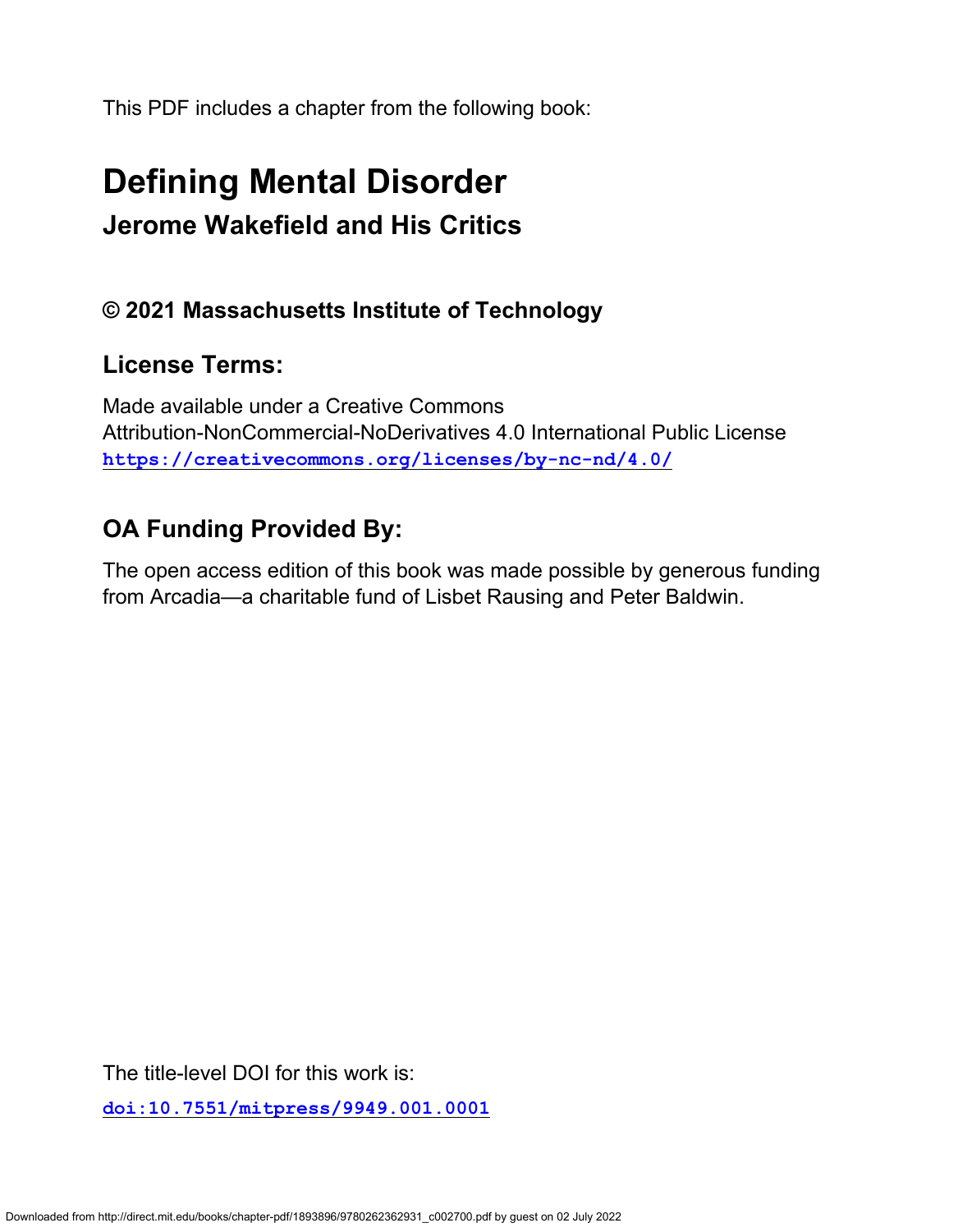This PDF includes a chapter from the following book:

# **Defining Mental Disorder Jerome Wakefield and His Critics**

### **© 2021 Massachusetts Institute of Technology**

## **License Terms:**

Made available under a Creative Commons Attribution-NonCommercial-NoDerivatives 4.0 International Public License **<https://creativecommons.org/licenses/by-nc-nd/4.0/>**

# **OA Funding Provided By:**

The open access edition of this book was made possible by generous funding from Arcadia—a charitable fund of Lisbet Rausing and Peter Baldwin.

The title-level DOI for this work is:

**[doi:10.7551/mitpress/9949.001.0001](https://doi.org/10.7551/mitpress/9949.001.0001)**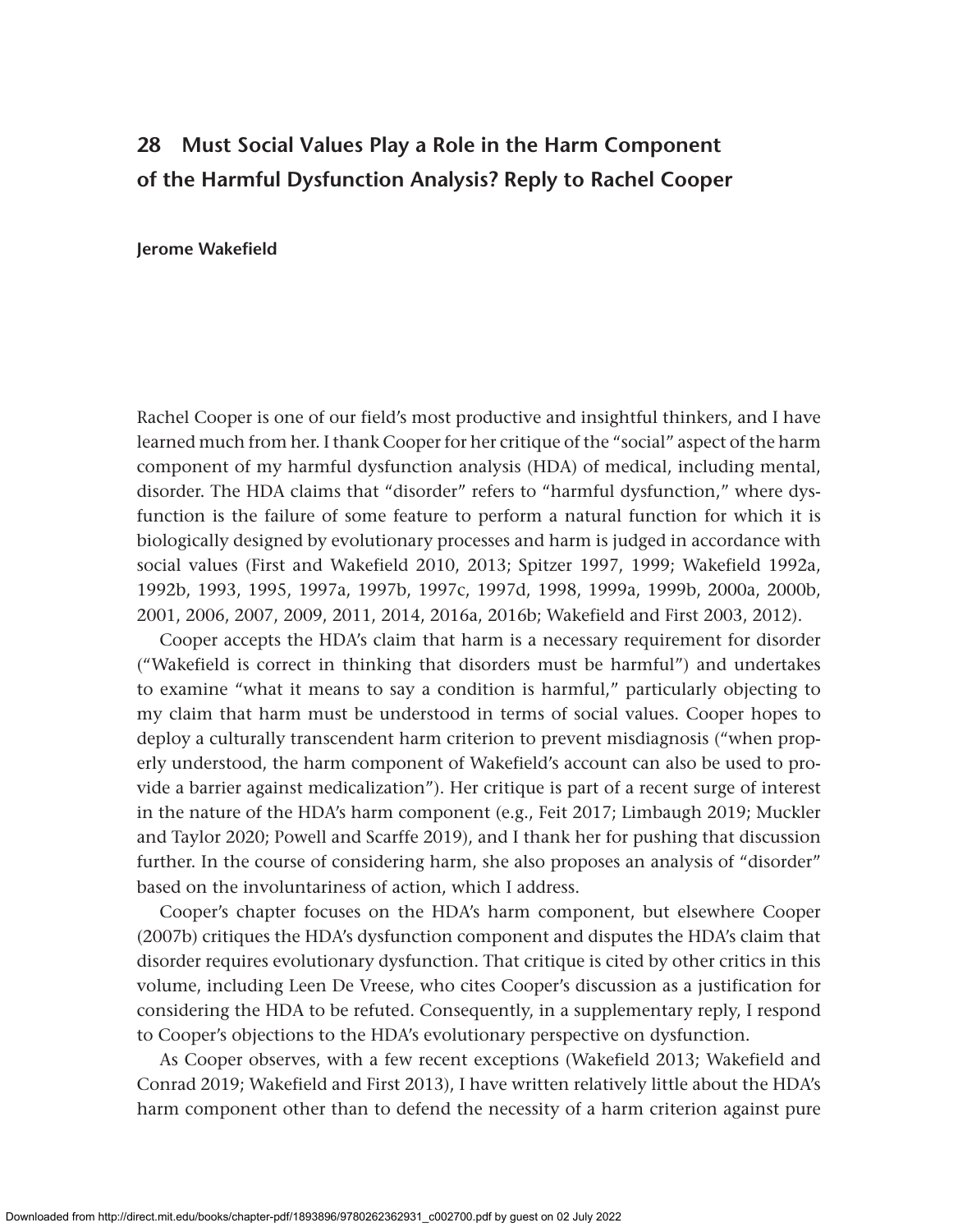### **28 Must Social Values Play a Role in the Harm Component of the Harmful Dysfunction Analysis? Reply to Rachel Cooper**

#### **Jerome Wakefield**

Rachel Cooper is one of our field's most productive and insightful thinkers, and I have learned much from her. I thank Cooper for her critique of the "social" aspect of the harm component of my harmful dysfunction analysis (HDA) of medical, including mental, disorder. The HDA claims that "disorder" refers to "harmful dysfunction," where dysfunction is the failure of some feature to perform a natural function for which it is biologically designed by evolutionary processes and harm is judged in accordance with social values (First and Wakefield 2010, 2013; Spitzer 1997, 1999; Wakefield 1992a, 1992b, 1993, 1995, 1997a, 1997b, 1997c, 1997d, 1998, 1999a, 1999b, 2000a, 2000b, 2001, 2006, 2007, 2009, 2011, 2014, 2016a, 2016b; Wakefield and First 2003, 2012).

Cooper accepts the HDA's claim that harm is a necessary requirement for disorder ("Wakefield is correct in thinking that disorders must be harmful") and undertakes to examine "what it means to say a condition is harmful," particularly objecting to my claim that harm must be understood in terms of social values. Cooper hopes to deploy a culturally transcendent harm criterion to prevent misdiagnosis ("when properly understood, the harm component of Wakefield's account can also be used to provide a barrier against medicalization"). Her critique is part of a recent surge of interest in the nature of the HDA's harm component (e.g., Feit 2017; Limbaugh 2019; Muckler and Taylor 2020; Powell and Scarffe 2019), and I thank her for pushing that discussion further. In the course of considering harm, she also proposes an analysis of "disorder" based on the involuntariness of action, which I address.

Cooper's chapter focuses on the HDA's harm component, but elsewhere Cooper (2007b) critiques the HDA's dysfunction component and disputes the HDA's claim that disorder requires evolutionary dysfunction. That critique is cited by other critics in this volume, including Leen De Vreese, who cites Cooper's discussion as a justification for considering the HDA to be refuted. Consequently, in a supplementary reply, I respond to Cooper's objections to the HDA's evolutionary perspective on dysfunction.

As Cooper observes, with a few recent exceptions (Wakefield 2013; Wakefield and Conrad 2019; Wakefield and First 2013), I have written relatively little about the HDA's harm component other than to defend the necessity of a harm criterion against pure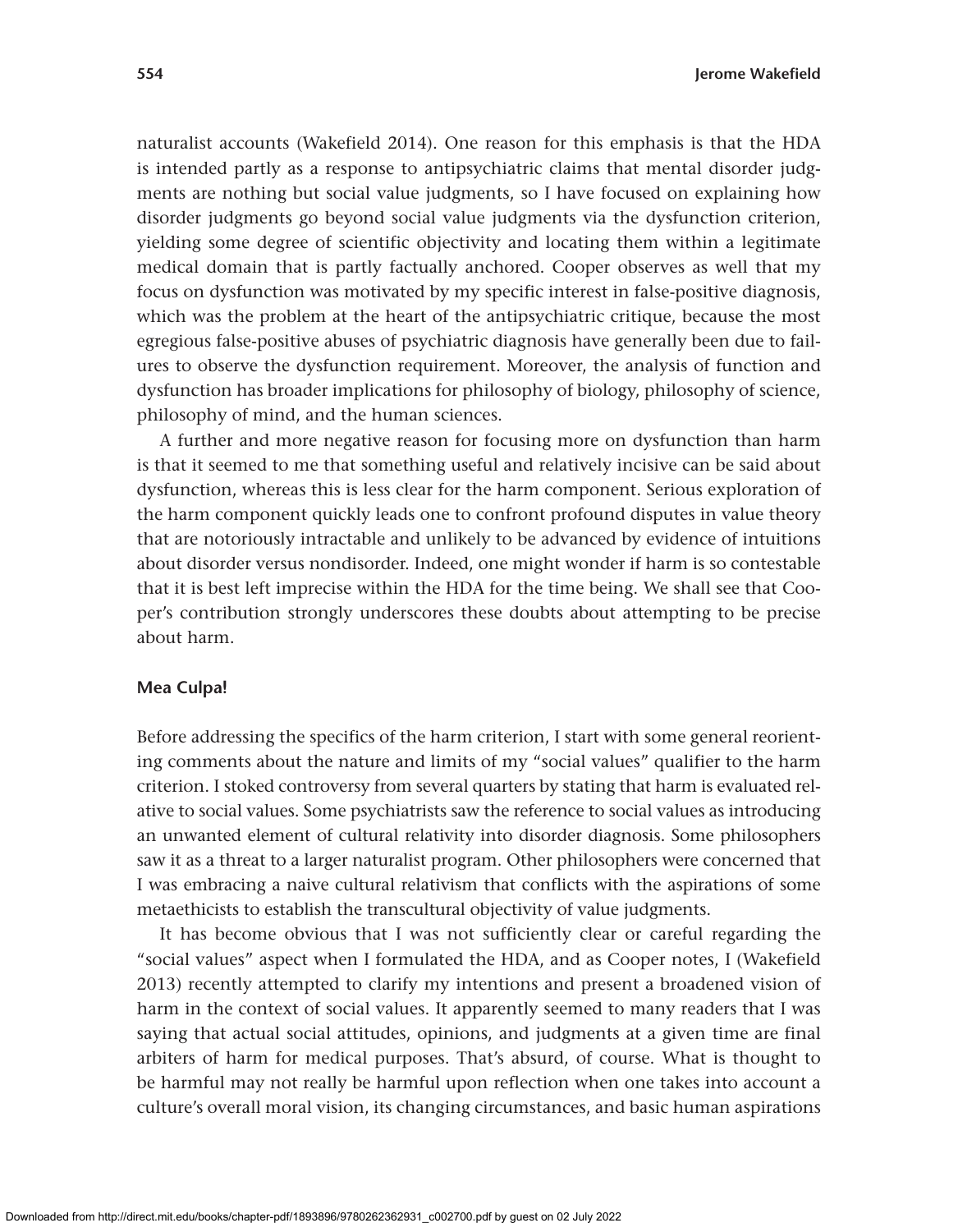naturalist accounts (Wakefield 2014). One reason for this emphasis is that the HDA is intended partly as a response to antipsychiatric claims that mental disorder judgments are nothing but social value judgments, so I have focused on explaining how disorder judgments go beyond social value judgments via the dysfunction criterion, yielding some degree of scientific objectivity and locating them within a legitimate medical domain that is partly factually anchored. Cooper observes as well that my focus on dysfunction was motivated by my specific interest in false-positive diagnosis, which was the problem at the heart of the antipsychiatric critique, because the most egregious false-positive abuses of psychiatric diagnosis have generally been due to failures to observe the dysfunction requirement. Moreover, the analysis of function and dysfunction has broader implications for philosophy of biology, philosophy of science, philosophy of mind, and the human sciences.

A further and more negative reason for focusing more on dysfunction than harm is that it seemed to me that something useful and relatively incisive can be said about dysfunction, whereas this is less clear for the harm component. Serious exploration of the harm component quickly leads one to confront profound disputes in value theory that are notoriously intractable and unlikely to be advanced by evidence of intuitions about disorder versus nondisorder. Indeed, one might wonder if harm is so contestable that it is best left imprecise within the HDA for the time being. We shall see that Cooper's contribution strongly underscores these doubts about attempting to be precise about harm.

### **Mea Culpa!**

Before addressing the specifics of the harm criterion, I start with some general reorienting comments about the nature and limits of my "social values" qualifier to the harm criterion. I stoked controversy from several quarters by stating that harm is evaluated relative to social values. Some psychiatrists saw the reference to social values as introducing an unwanted element of cultural relativity into disorder diagnosis. Some philosophers saw it as a threat to a larger naturalist program. Other philosophers were concerned that I was embracing a naive cultural relativism that conflicts with the aspirations of some metaethicists to establish the transcultural objectivity of value judgments.

It has become obvious that I was not sufficiently clear or careful regarding the "social values" aspect when I formulated the HDA, and as Cooper notes, I (Wakefield 2013) recently attempted to clarify my intentions and present a broadened vision of harm in the context of social values. It apparently seemed to many readers that I was saying that actual social attitudes, opinions, and judgments at a given time are final arbiters of harm for medical purposes. That's absurd, of course. What is thought to be harmful may not really be harmful upon reflection when one takes into account a culture's overall moral vision, its changing circumstances, and basic human aspirations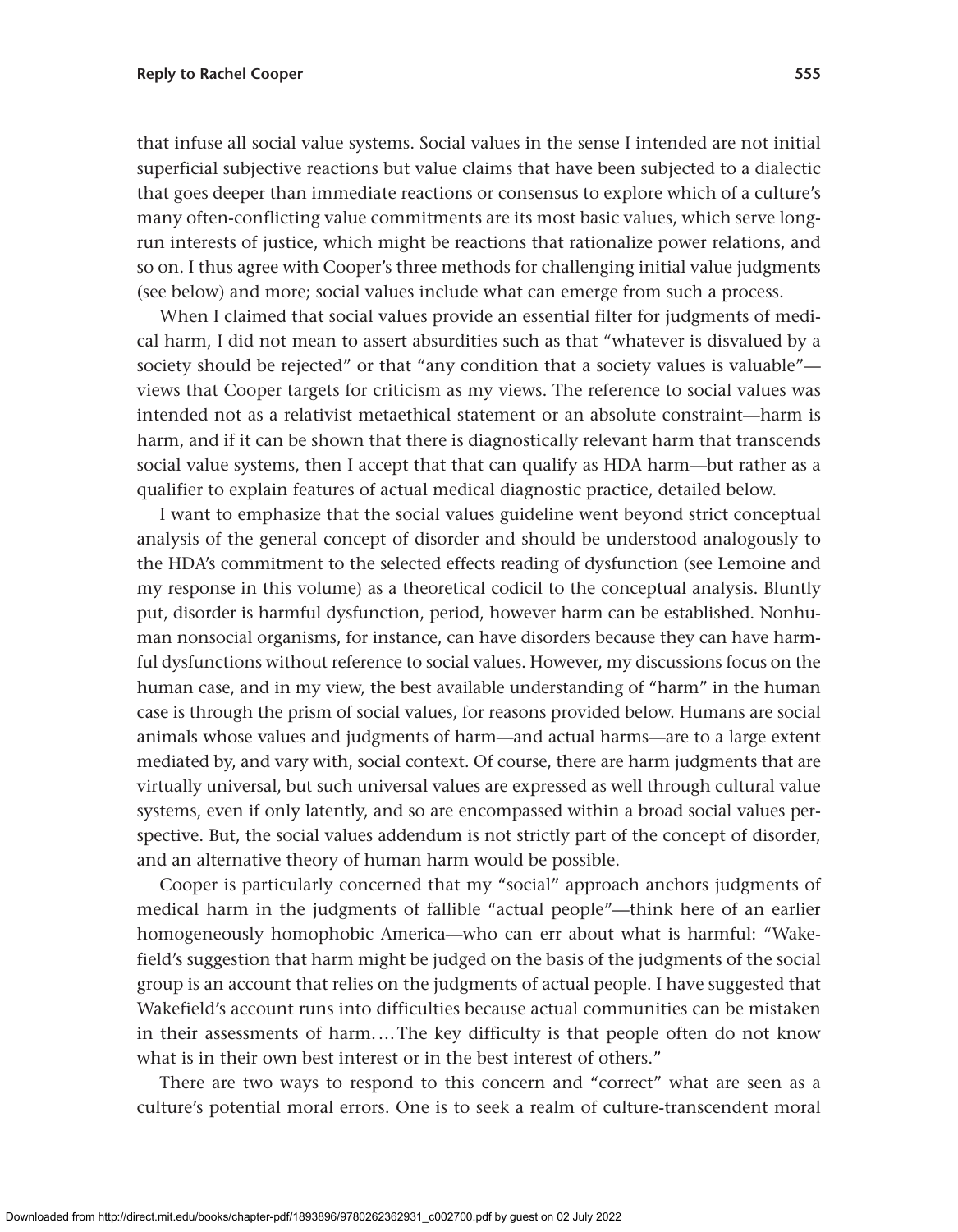that infuse all social value systems. Social values in the sense I intended are not initial superficial subjective reactions but value claims that have been subjected to a dialectic that goes deeper than immediate reactions or consensus to explore which of a culture's many often-conflicting value commitments are its most basic values, which serve longrun interests of justice, which might be reactions that rationalize power relations, and so on. I thus agree with Cooper's three methods for challenging initial value judgments (see below) and more; social values include what can emerge from such a process.

When I claimed that social values provide an essential filter for judgments of medical harm, I did not mean to assert absurdities such as that "whatever is disvalued by a society should be rejected" or that "any condition that a society values is valuable" views that Cooper targets for criticism as my views. The reference to social values was intended not as a relativist metaethical statement or an absolute constraint—harm is harm, and if it can be shown that there is diagnostically relevant harm that transcends social value systems, then I accept that that can qualify as HDA harm—but rather as a qualifier to explain features of actual medical diagnostic practice, detailed below.

I want to emphasize that the social values guideline went beyond strict conceptual analysis of the general concept of disorder and should be understood analogously to the HDA's commitment to the selected effects reading of dysfunction (see Lemoine and my response in this volume) as a theoretical codicil to the conceptual analysis. Bluntly put, disorder is harmful dysfunction, period, however harm can be established. Nonhuman nonsocial organisms, for instance, can have disorders because they can have harmful dysfunctions without reference to social values. However, my discussions focus on the human case, and in my view, the best available understanding of "harm" in the human case is through the prism of social values, for reasons provided below. Humans are social animals whose values and judgments of harm—and actual harms—are to a large extent mediated by, and vary with, social context. Of course, there are harm judgments that are virtually universal, but such universal values are expressed as well through cultural value systems, even if only latently, and so are encompassed within a broad social values perspective. But, the social values addendum is not strictly part of the concept of disorder, and an alternative theory of human harm would be possible.

Cooper is particularly concerned that my "social" approach anchors judgments of medical harm in the judgments of fallible "actual people"—think here of an earlier homogeneously homophobic America—who can err about what is harmful: "Wakefield's suggestion that harm might be judged on the basis of the judgments of the social group is an account that relies on the judgments of actual people. I have suggested that Wakefield's account runs into difficulties because actual communities can be mistaken in their assessments of harm.…The key difficulty is that people often do not know what is in their own best interest or in the best interest of others."

There are two ways to respond to this concern and "correct" what are seen as a culture's potential moral errors. One is to seek a realm of culture-transcendent moral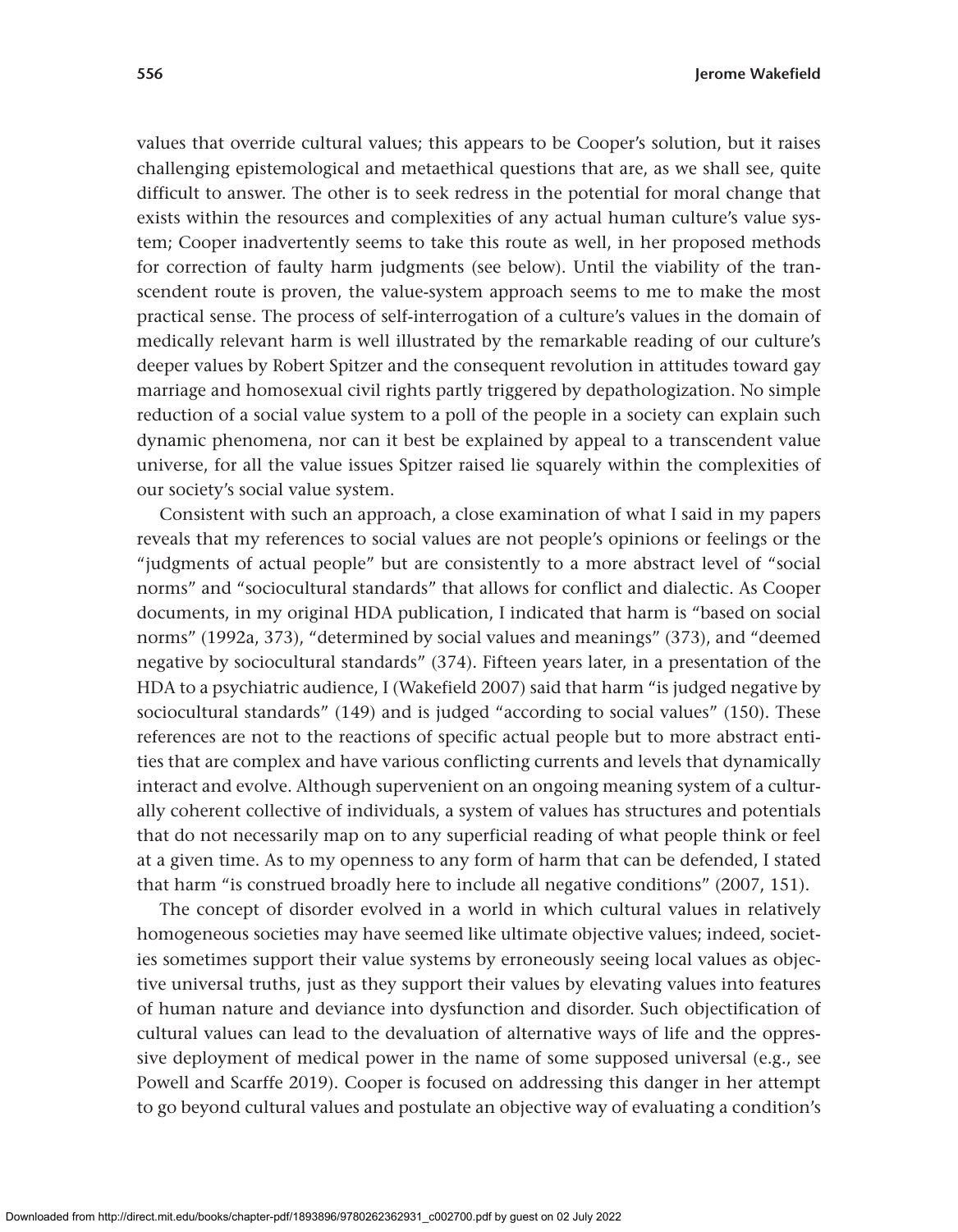values that override cultural values; this appears to be Cooper's solution, but it raises challenging epistemological and metaethical questions that are, as we shall see, quite difficult to answer. The other is to seek redress in the potential for moral change that exists within the resources and complexities of any actual human culture's value system; Cooper inadvertently seems to take this route as well, in her proposed methods for correction of faulty harm judgments (see below). Until the viability of the transcendent route is proven, the value-system approach seems to me to make the most practical sense. The process of self-interrogation of a culture's values in the domain of medically relevant harm is well illustrated by the remarkable reading of our culture's deeper values by Robert Spitzer and the consequent revolution in attitudes toward gay marriage and homosexual civil rights partly triggered by depathologization. No simple reduction of a social value system to a poll of the people in a society can explain such dynamic phenomena, nor can it best be explained by appeal to a transcendent value universe, for all the value issues Spitzer raised lie squarely within the complexities of our society's social value system.

Consistent with such an approach, a close examination of what I said in my papers reveals that my references to social values are not people's opinions or feelings or the "judgments of actual people" but are consistently to a more abstract level of "social norms" and "sociocultural standards" that allows for conflict and dialectic. As Cooper documents, in my original HDA publication, I indicated that harm is "based on social norms" (1992a, 373), "determined by social values and meanings" (373), and "deemed negative by sociocultural standards" (374). Fifteen years later, in a presentation of the HDA to a psychiatric audience, I (Wakefield 2007) said that harm "is judged negative by sociocultural standards" (149) and is judged "according to social values" (150). These references are not to the reactions of specific actual people but to more abstract entities that are complex and have various conflicting currents and levels that dynamically interact and evolve. Although supervenient on an ongoing meaning system of a culturally coherent collective of individuals, a system of values has structures and potentials that do not necessarily map on to any superficial reading of what people think or feel at a given time. As to my openness to any form of harm that can be defended, I stated that harm "is construed broadly here to include all negative conditions" (2007, 151).

The concept of disorder evolved in a world in which cultural values in relatively homogeneous societies may have seemed like ultimate objective values; indeed, societies sometimes support their value systems by erroneously seeing local values as objective universal truths, just as they support their values by elevating values into features of human nature and deviance into dysfunction and disorder. Such objectification of cultural values can lead to the devaluation of alternative ways of life and the oppressive deployment of medical power in the name of some supposed universal (e.g., see Powell and Scarffe 2019). Cooper is focused on addressing this danger in her attempt to go beyond cultural values and postulate an objective way of evaluating a condition's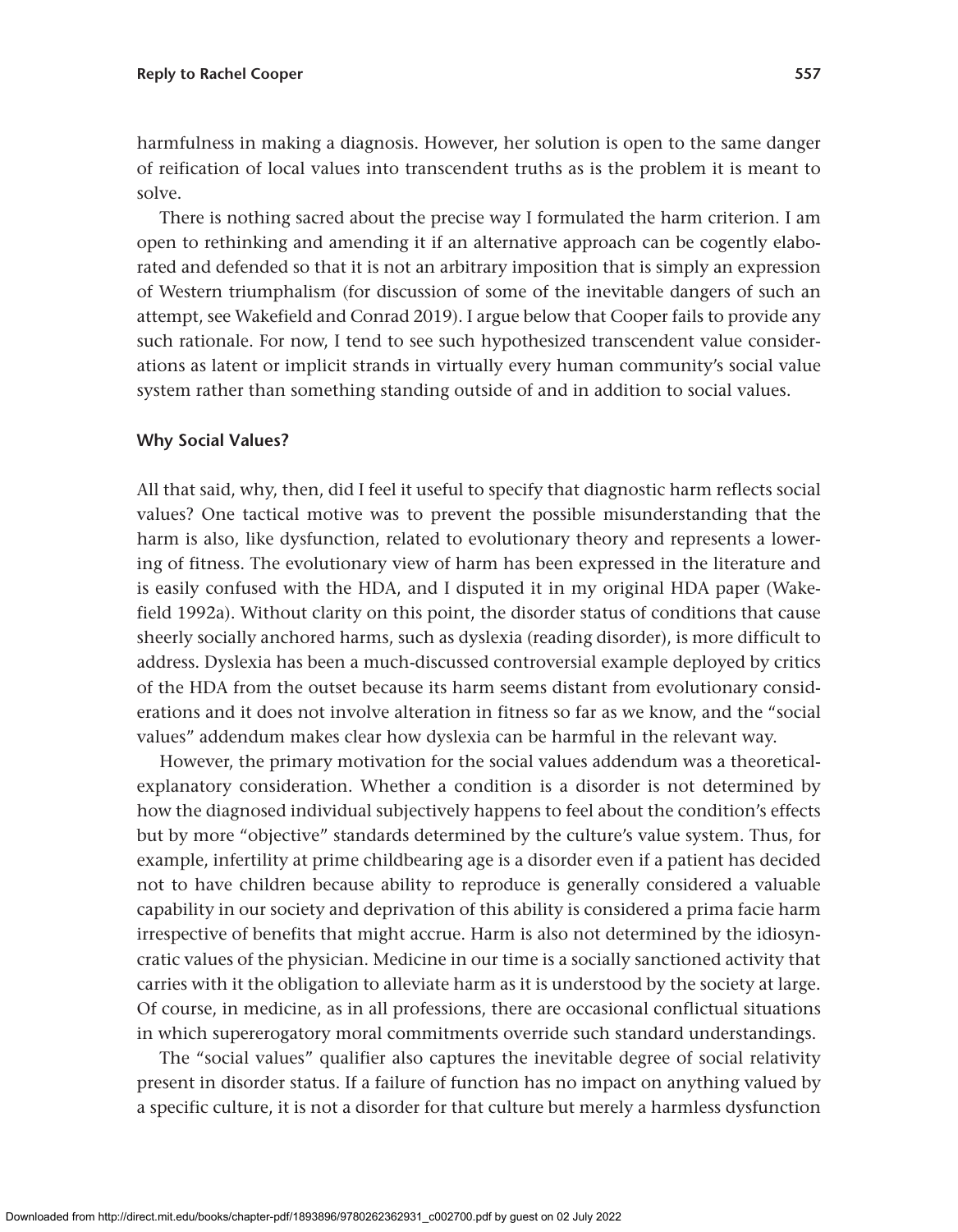harmfulness in making a diagnosis. However, her solution is open to the same danger of reification of local values into transcendent truths as is the problem it is meant to solve.

There is nothing sacred about the precise way I formulated the harm criterion. I am open to rethinking and amending it if an alternative approach can be cogently elaborated and defended so that it is not an arbitrary imposition that is simply an expression of Western triumphalism (for discussion of some of the inevitable dangers of such an attempt, see Wakefield and Conrad 2019). I argue below that Cooper fails to provide any such rationale. For now, I tend to see such hypothesized transcendent value considerations as latent or implicit strands in virtually every human community's social value system rather than something standing outside of and in addition to social values.

#### **Why Social Values?**

All that said, why, then, did I feel it useful to specify that diagnostic harm reflects social values? One tactical motive was to prevent the possible misunderstanding that the harm is also, like dysfunction, related to evolutionary theory and represents a lowering of fitness. The evolutionary view of harm has been expressed in the literature and is easily confused with the HDA, and I disputed it in my original HDA paper (Wakefield 1992a). Without clarity on this point, the disorder status of conditions that cause sheerly socially anchored harms, such as dyslexia (reading disorder), is more difficult to address. Dyslexia has been a much-discussed controversial example deployed by critics of the HDA from the outset because its harm seems distant from evolutionary considerations and it does not involve alteration in fitness so far as we know, and the "social values" addendum makes clear how dyslexia can be harmful in the relevant way.

However, the primary motivation for the social values addendum was a theoreticalexplanatory consideration. Whether a condition is a disorder is not determined by how the diagnosed individual subjectively happens to feel about the condition's effects but by more "objective" standards determined by the culture's value system. Thus, for example, infertility at prime childbearing age is a disorder even if a patient has decided not to have children because ability to reproduce is generally considered a valuable capability in our society and deprivation of this ability is considered a prima facie harm irrespective of benefits that might accrue. Harm is also not determined by the idiosyncratic values of the physician. Medicine in our time is a socially sanctioned activity that carries with it the obligation to alleviate harm as it is understood by the society at large. Of course, in medicine, as in all professions, there are occasional conflictual situations in which supererogatory moral commitments override such standard understandings.

The "social values" qualifier also captures the inevitable degree of social relativity present in disorder status. If a failure of function has no impact on anything valued by a specific culture, it is not a disorder for that culture but merely a harmless dysfunction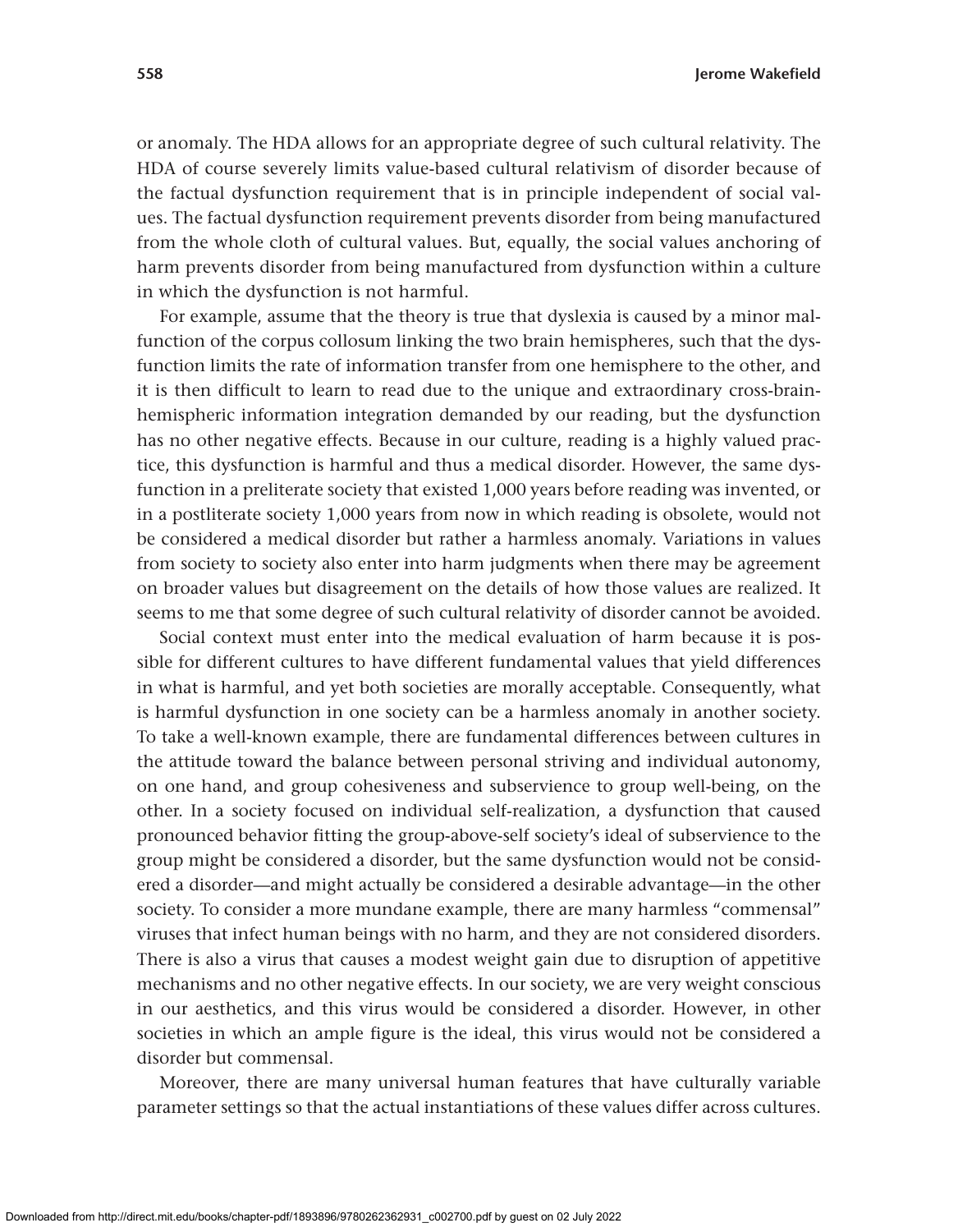or anomaly. The HDA allows for an appropriate degree of such cultural relativity. The HDA of course severely limits value-based cultural relativism of disorder because of the factual dysfunction requirement that is in principle independent of social values. The factual dysfunction requirement prevents disorder from being manufactured from the whole cloth of cultural values. But, equally, the social values anchoring of harm prevents disorder from being manufactured from dysfunction within a culture in which the dysfunction is not harmful.

For example, assume that the theory is true that dyslexia is caused by a minor malfunction of the corpus collosum linking the two brain hemispheres, such that the dysfunction limits the rate of information transfer from one hemisphere to the other, and it is then difficult to learn to read due to the unique and extraordinary cross-brainhemispheric information integration demanded by our reading, but the dysfunction has no other negative effects. Because in our culture, reading is a highly valued practice, this dysfunction is harmful and thus a medical disorder. However, the same dysfunction in a preliterate society that existed 1,000 years before reading was invented, or in a postliterate society 1,000 years from now in which reading is obsolete, would not be considered a medical disorder but rather a harmless anomaly. Variations in values from society to society also enter into harm judgments when there may be agreement on broader values but disagreement on the details of how those values are realized. It seems to me that some degree of such cultural relativity of disorder cannot be avoided.

Social context must enter into the medical evaluation of harm because it is possible for different cultures to have different fundamental values that yield differences in what is harmful, and yet both societies are morally acceptable. Consequently, what is harmful dysfunction in one society can be a harmless anomaly in another society. To take a well-known example, there are fundamental differences between cultures in the attitude toward the balance between personal striving and individual autonomy, on one hand, and group cohesiveness and subservience to group well-being, on the other. In a society focused on individual self-realization, a dysfunction that caused pronounced behavior fitting the group-above-self society's ideal of subservience to the group might be considered a disorder, but the same dysfunction would not be considered a disorder—and might actually be considered a desirable advantage—in the other society. To consider a more mundane example, there are many harmless "commensal" viruses that infect human beings with no harm, and they are not considered disorders. There is also a virus that causes a modest weight gain due to disruption of appetitive mechanisms and no other negative effects. In our society, we are very weight conscious in our aesthetics, and this virus would be considered a disorder. However, in other societies in which an ample figure is the ideal, this virus would not be considered a disorder but commensal.

Moreover, there are many universal human features that have culturally variable parameter settings so that the actual instantiations of these values differ across cultures.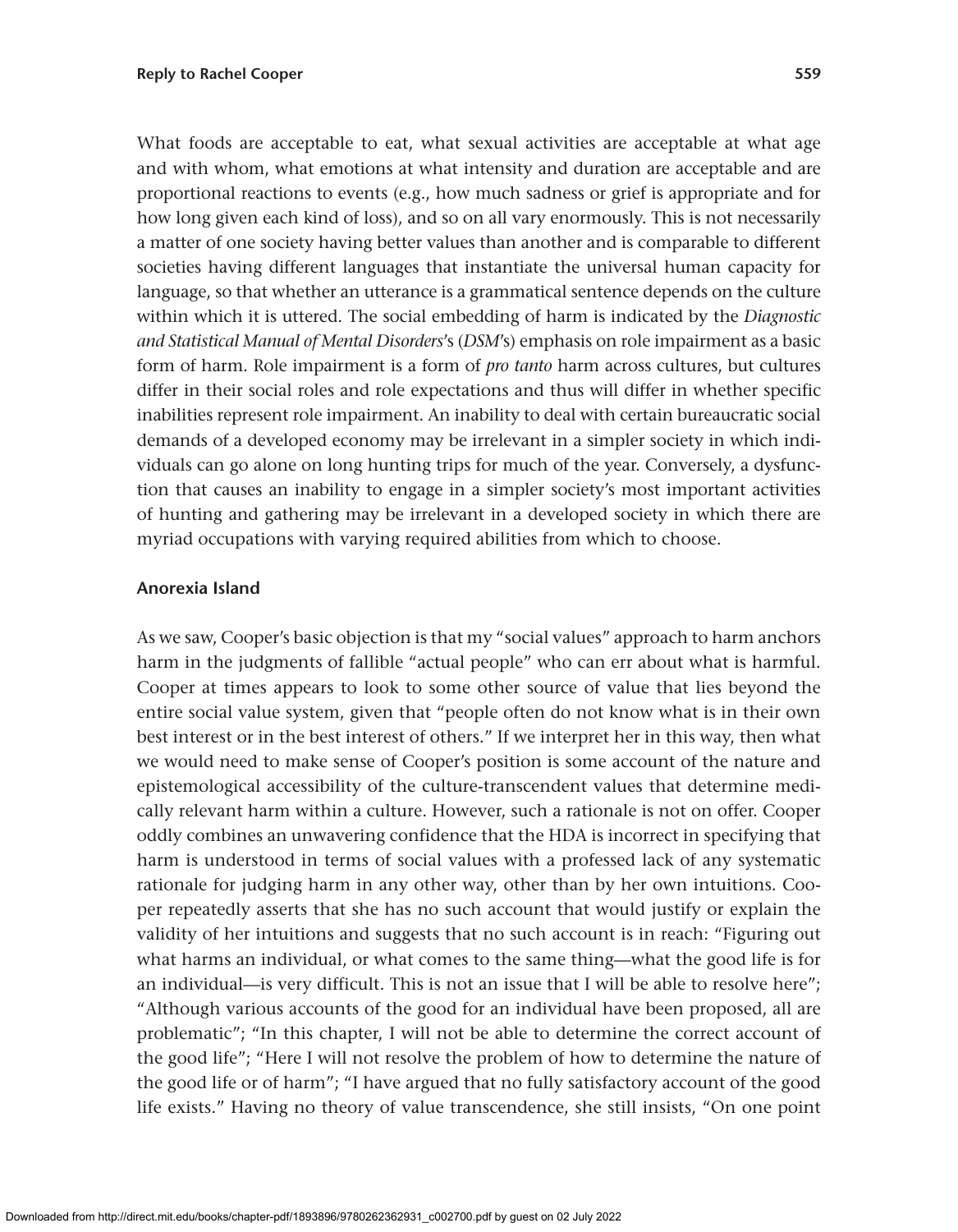What foods are acceptable to eat, what sexual activities are acceptable at what age and with whom, what emotions at what intensity and duration are acceptable and are proportional reactions to events (e.g., how much sadness or grief is appropriate and for how long given each kind of loss), and so on all vary enormously. This is not necessarily a matter of one society having better values than another and is comparable to different societies having different languages that instantiate the universal human capacity for language, so that whether an utterance is a grammatical sentence depends on the culture within which it is uttered. The social embedding of harm is indicated by the *Diagnostic and Statistical Manual of Mental Disorders*'s (*DSM*'s) emphasis on role impairment as a basic form of harm. Role impairment is a form of *pro tanto* harm across cultures, but cultures differ in their social roles and role expectations and thus will differ in whether specific inabilities represent role impairment. An inability to deal with certain bureaucratic social demands of a developed economy may be irrelevant in a simpler society in which individuals can go alone on long hunting trips for much of the year. Conversely, a dysfunction that causes an inability to engage in a simpler society's most important activities of hunting and gathering may be irrelevant in a developed society in which there are myriad occupations with varying required abilities from which to choose.

### **Anorexia Island**

As we saw, Cooper's basic objection is that my "social values" approach to harm anchors harm in the judgments of fallible "actual people" who can err about what is harmful. Cooper at times appears to look to some other source of value that lies beyond the entire social value system, given that "people often do not know what is in their own best interest or in the best interest of others." If we interpret her in this way, then what we would need to make sense of Cooper's position is some account of the nature and epistemological accessibility of the culture-transcendent values that determine medically relevant harm within a culture. However, such a rationale is not on offer. Cooper oddly combines an unwavering confidence that the HDA is incorrect in specifying that harm is understood in terms of social values with a professed lack of any systematic rationale for judging harm in any other way, other than by her own intuitions. Cooper repeatedly asserts that she has no such account that would justify or explain the validity of her intuitions and suggests that no such account is in reach: "Figuring out what harms an individual, or what comes to the same thing—what the good life is for an individual—is very difficult. This is not an issue that I will be able to resolve here"; "Although various accounts of the good for an individual have been proposed, all are problematic"; "In this chapter, I will not be able to determine the correct account of the good life"; "Here I will not resolve the problem of how to determine the nature of the good life or of harm"; "I have argued that no fully satisfactory account of the good life exists." Having no theory of value transcendence, she still insists, "On one point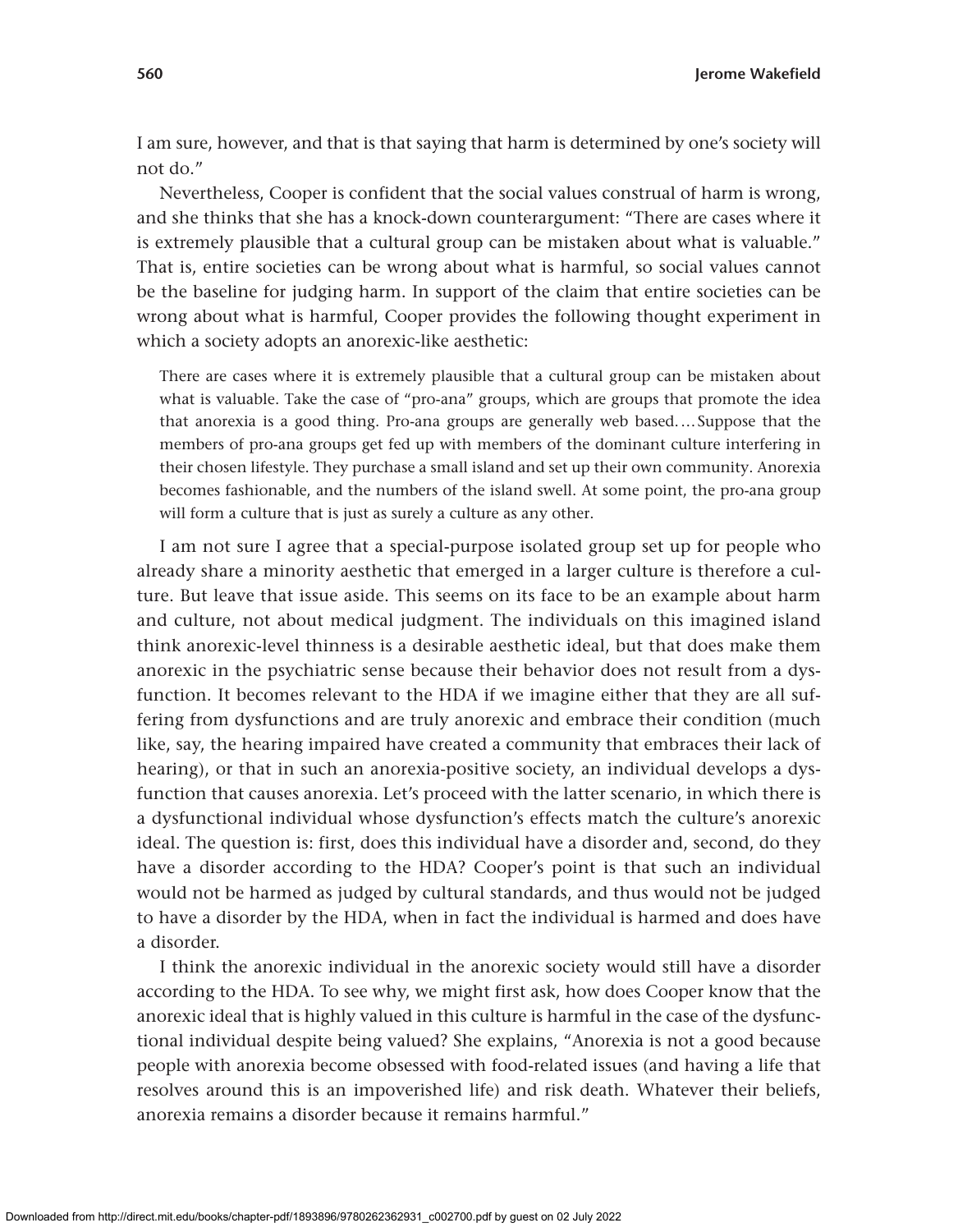I am sure, however, and that is that saying that harm is determined by one's society will not do."

Nevertheless, Cooper is confident that the social values construal of harm is wrong, and she thinks that she has a knock-down counterargument: "There are cases where it is extremely plausible that a cultural group can be mistaken about what is valuable." That is, entire societies can be wrong about what is harmful, so social values cannot be the baseline for judging harm. In support of the claim that entire societies can be wrong about what is harmful, Cooper provides the following thought experiment in which a society adopts an anorexic-like aesthetic:

There are cases where it is extremely plausible that a cultural group can be mistaken about what is valuable. Take the case of "pro-ana" groups, which are groups that promote the idea that anorexia is a good thing. Pro-ana groups are generally web based.…Suppose that the members of pro-ana groups get fed up with members of the dominant culture interfering in their chosen lifestyle. They purchase a small island and set up their own community. Anorexia becomes fashionable, and the numbers of the island swell. At some point, the pro-ana group will form a culture that is just as surely a culture as any other.

I am not sure I agree that a special-purpose isolated group set up for people who already share a minority aesthetic that emerged in a larger culture is therefore a culture. But leave that issue aside. This seems on its face to be an example about harm and culture, not about medical judgment. The individuals on this imagined island think anorexic-level thinness is a desirable aesthetic ideal, but that does make them anorexic in the psychiatric sense because their behavior does not result from a dysfunction. It becomes relevant to the HDA if we imagine either that they are all suffering from dysfunctions and are truly anorexic and embrace their condition (much like, say, the hearing impaired have created a community that embraces their lack of hearing), or that in such an anorexia-positive society, an individual develops a dysfunction that causes anorexia. Let's proceed with the latter scenario, in which there is a dysfunctional individual whose dysfunction's effects match the culture's anorexic ideal. The question is: first, does this individual have a disorder and, second, do they have a disorder according to the HDA? Cooper's point is that such an individual would not be harmed as judged by cultural standards, and thus would not be judged to have a disorder by the HDA, when in fact the individual is harmed and does have a disorder.

I think the anorexic individual in the anorexic society would still have a disorder according to the HDA. To see why, we might first ask, how does Cooper know that the anorexic ideal that is highly valued in this culture is harmful in the case of the dysfunctional individual despite being valued? She explains, "Anorexia is not a good because people with anorexia become obsessed with food-related issues (and having a life that resolves around this is an impoverished life) and risk death. Whatever their beliefs, anorexia remains a disorder because it remains harmful."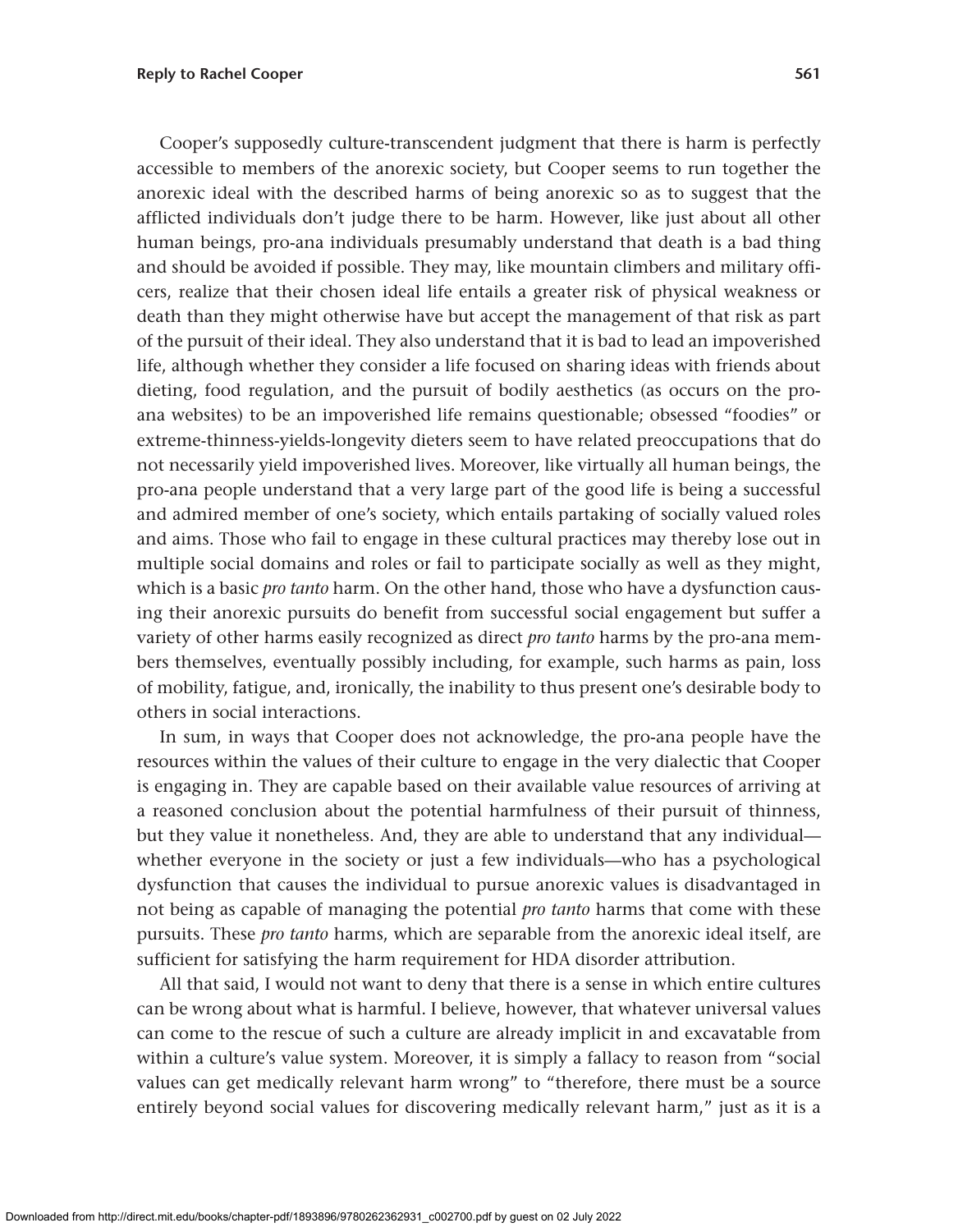Cooper's supposedly culture-transcendent judgment that there is harm is perfectly accessible to members of the anorexic society, but Cooper seems to run together the anorexic ideal with the described harms of being anorexic so as to suggest that the afflicted individuals don't judge there to be harm. However, like just about all other human beings, pro-ana individuals presumably understand that death is a bad thing and should be avoided if possible. They may, like mountain climbers and military officers, realize that their chosen ideal life entails a greater risk of physical weakness or death than they might otherwise have but accept the management of that risk as part of the pursuit of their ideal. They also understand that it is bad to lead an impoverished life, although whether they consider a life focused on sharing ideas with friends about dieting, food regulation, and the pursuit of bodily aesthetics (as occurs on the proana websites) to be an impoverished life remains questionable; obsessed "foodies" or extreme-thinness-yields-longevity dieters seem to have related preoccupations that do not necessarily yield impoverished lives. Moreover, like virtually all human beings, the pro-ana people understand that a very large part of the good life is being a successful and admired member of one's society, which entails partaking of socially valued roles and aims. Those who fail to engage in these cultural practices may thereby lose out in multiple social domains and roles or fail to participate socially as well as they might, which is a basic *pro tanto* harm. On the other hand, those who have a dysfunction causing their anorexic pursuits do benefit from successful social engagement but suffer a variety of other harms easily recognized as direct *pro tanto* harms by the pro-ana members themselves, eventually possibly including, for example, such harms as pain, loss of mobility, fatigue, and, ironically, the inability to thus present one's desirable body to others in social interactions.

In sum, in ways that Cooper does not acknowledge, the pro-ana people have the resources within the values of their culture to engage in the very dialectic that Cooper is engaging in. They are capable based on their available value resources of arriving at a reasoned conclusion about the potential harmfulness of their pursuit of thinness, but they value it nonetheless. And, they are able to understand that any individual whether everyone in the society or just a few individuals—who has a psychological dysfunction that causes the individual to pursue anorexic values is disadvantaged in not being as capable of managing the potential *pro tanto* harms that come with these pursuits. These *pro tanto* harms, which are separable from the anorexic ideal itself, are sufficient for satisfying the harm requirement for HDA disorder attribution.

All that said, I would not want to deny that there is a sense in which entire cultures can be wrong about what is harmful. I believe, however, that whatever universal values can come to the rescue of such a culture are already implicit in and excavatable from within a culture's value system. Moreover, it is simply a fallacy to reason from "social values can get medically relevant harm wrong" to "therefore, there must be a source entirely beyond social values for discovering medically relevant harm," just as it is a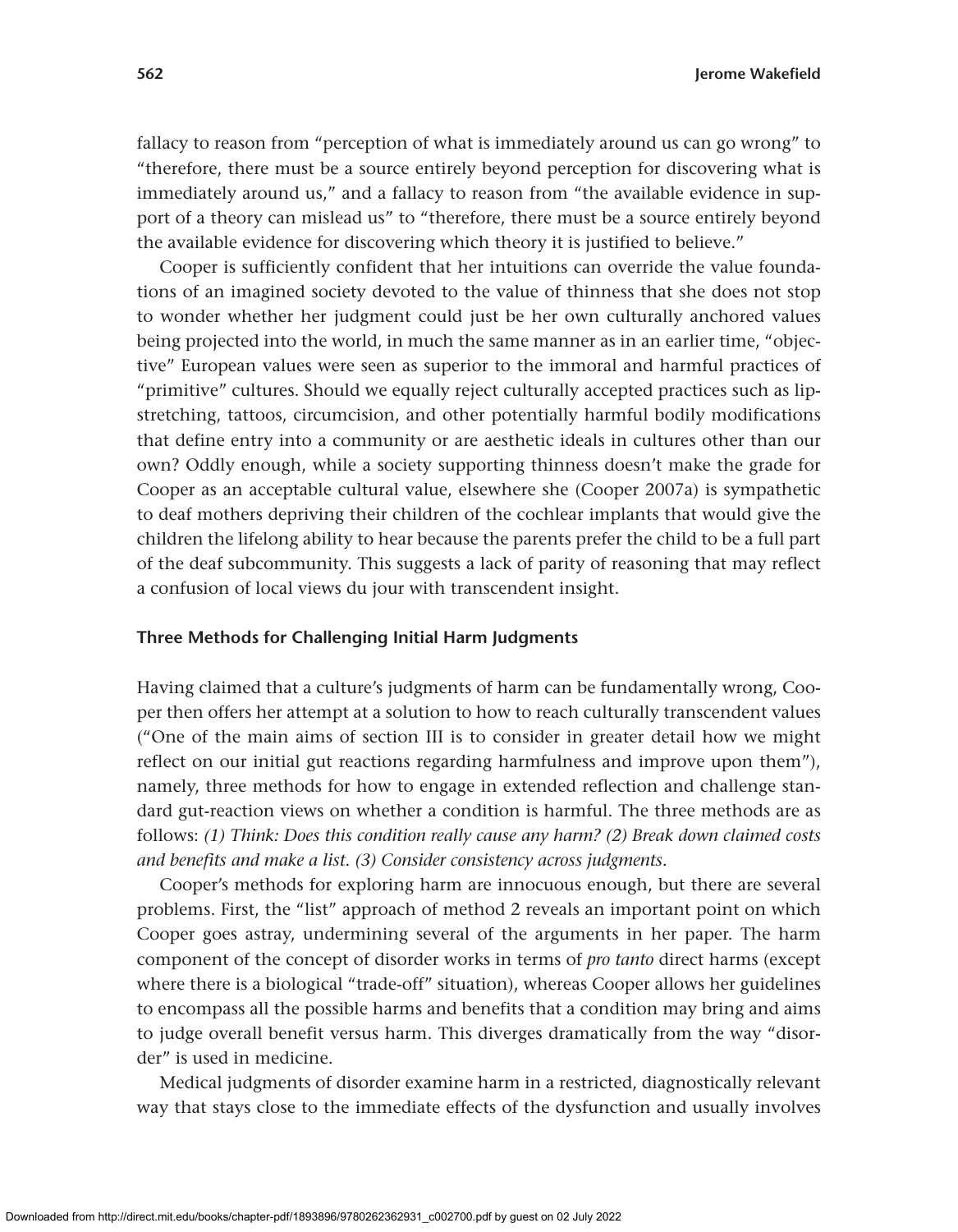fallacy to reason from "perception of what is immediately around us can go wrong" to "therefore, there must be a source entirely beyond perception for discovering what is immediately around us," and a fallacy to reason from "the available evidence in support of a theory can mislead us" to "therefore, there must be a source entirely beyond the available evidence for discovering which theory it is justified to believe."

Cooper is sufficiently confident that her intuitions can override the value foundations of an imagined society devoted to the value of thinness that she does not stop to wonder whether her judgment could just be her own culturally anchored values being projected into the world, in much the same manner as in an earlier time, "objective" European values were seen as superior to the immoral and harmful practices of "primitive" cultures. Should we equally reject culturally accepted practices such as lipstretching, tattoos, circumcision, and other potentially harmful bodily modifications that define entry into a community or are aesthetic ideals in cultures other than our own? Oddly enough, while a society supporting thinness doesn't make the grade for Cooper as an acceptable cultural value, elsewhere she (Cooper 2007a) is sympathetic to deaf mothers depriving their children of the cochlear implants that would give the children the lifelong ability to hear because the parents prefer the child to be a full part of the deaf subcommunity. This suggests a lack of parity of reasoning that may reflect a confusion of local views du jour with transcendent insight.

#### **Three Methods for Challenging Initial Harm Judgments**

Having claimed that a culture's judgments of harm can be fundamentally wrong, Cooper then offers her attempt at a solution to how to reach culturally transcendent values ("One of the main aims of section III is to consider in greater detail how we might reflect on our initial gut reactions regarding harmfulness and improve upon them"), namely, three methods for how to engage in extended reflection and challenge standard gut-reaction views on whether a condition is harmful. The three methods are as follows: *(1) Think: Does this condition really cause any harm? (2) Break down claimed costs and benefits and make a list. (3) Consider consistency across judgments.*

Cooper's methods for exploring harm are innocuous enough, but there are several problems. First, the "list" approach of method 2 reveals an important point on which Cooper goes astray, undermining several of the arguments in her paper. The harm component of the concept of disorder works in terms of *pro tanto* direct harms (except where there is a biological "trade-off" situation), whereas Cooper allows her guidelines to encompass all the possible harms and benefits that a condition may bring and aims to judge overall benefit versus harm. This diverges dramatically from the way "disorder" is used in medicine.

Medical judgments of disorder examine harm in a restricted, diagnostically relevant way that stays close to the immediate effects of the dysfunction and usually involves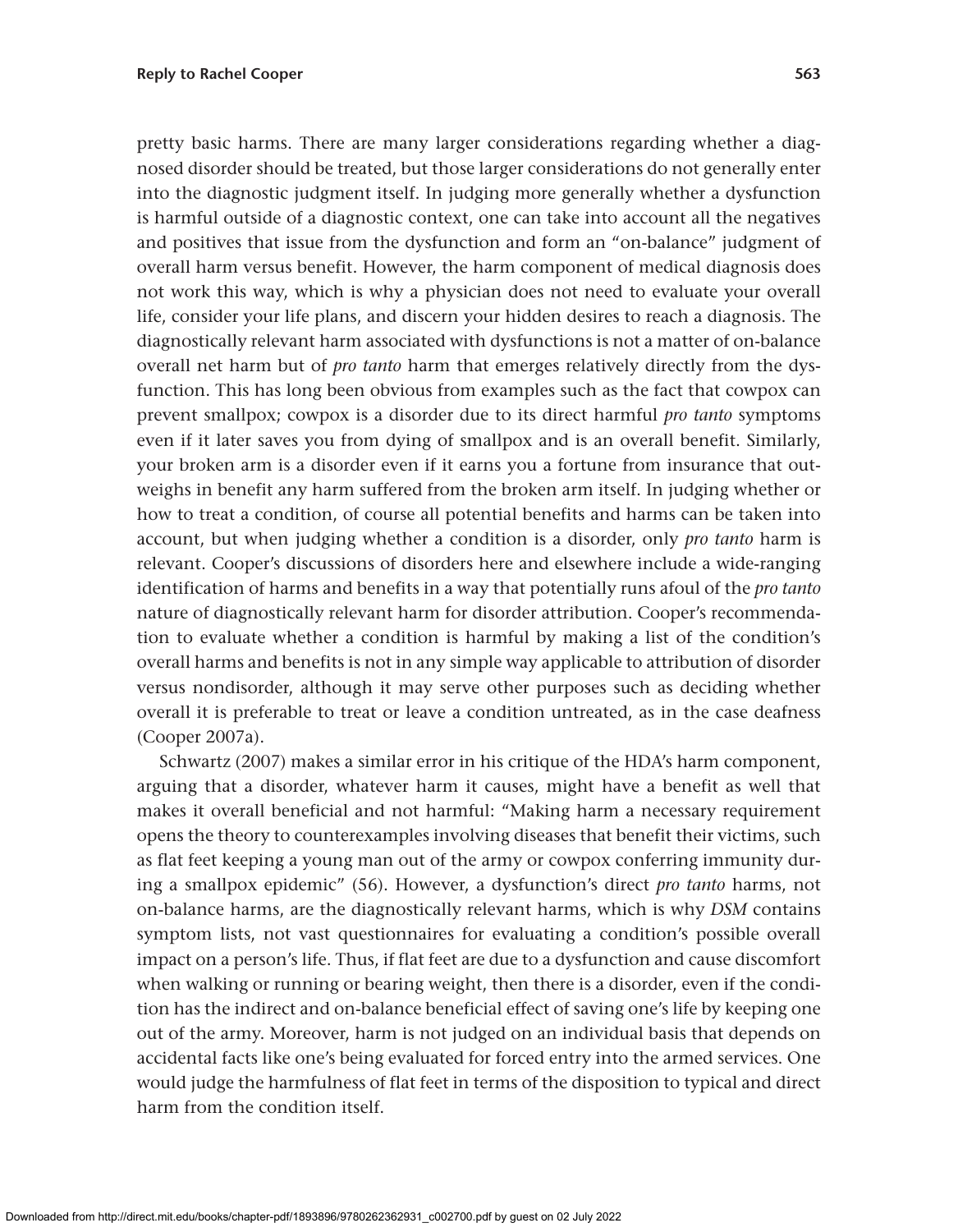pretty basic harms. There are many larger considerations regarding whether a diagnosed disorder should be treated, but those larger considerations do not generally enter into the diagnostic judgment itself. In judging more generally whether a dysfunction is harmful outside of a diagnostic context, one can take into account all the negatives and positives that issue from the dysfunction and form an "on-balance" judgment of overall harm versus benefit. However, the harm component of medical diagnosis does not work this way, which is why a physician does not need to evaluate your overall life, consider your life plans, and discern your hidden desires to reach a diagnosis. The diagnostically relevant harm associated with dysfunctions is not a matter of on-balance overall net harm but of *pro tanto* harm that emerges relatively directly from the dysfunction. This has long been obvious from examples such as the fact that cowpox can prevent smallpox; cowpox is a disorder due to its direct harmful *pro tanto* symptoms even if it later saves you from dying of smallpox and is an overall benefit. Similarly, your broken arm is a disorder even if it earns you a fortune from insurance that outweighs in benefit any harm suffered from the broken arm itself. In judging whether or how to treat a condition, of course all potential benefits and harms can be taken into account, but when judging whether a condition is a disorder, only *pro tanto* harm is relevant. Cooper's discussions of disorders here and elsewhere include a wide-ranging identification of harms and benefits in a way that potentially runs afoul of the *pro tanto* nature of diagnostically relevant harm for disorder attribution. Cooper's recommendation to evaluate whether a condition is harmful by making a list of the condition's overall harms and benefits is not in any simple way applicable to attribution of disorder versus nondisorder, although it may serve other purposes such as deciding whether overall it is preferable to treat or leave a condition untreated, as in the case deafness (Cooper 2007a).

Schwartz (2007) makes a similar error in his critique of the HDA's harm component, arguing that a disorder, whatever harm it causes, might have a benefit as well that makes it overall beneficial and not harmful: "Making harm a necessary requirement opens the theory to counterexamples involving diseases that benefit their victims, such as flat feet keeping a young man out of the army or cowpox conferring immunity during a smallpox epidemic" (56). However, a dysfunction's direct *pro tanto* harms, not on-balance harms, are the diagnostically relevant harms, which is why *DSM* contains symptom lists, not vast questionnaires for evaluating a condition's possible overall impact on a person's life. Thus, if flat feet are due to a dysfunction and cause discomfort when walking or running or bearing weight, then there is a disorder, even if the condition has the indirect and on-balance beneficial effect of saving one's life by keeping one out of the army. Moreover, harm is not judged on an individual basis that depends on accidental facts like one's being evaluated for forced entry into the armed services. One would judge the harmfulness of flat feet in terms of the disposition to typical and direct harm from the condition itself.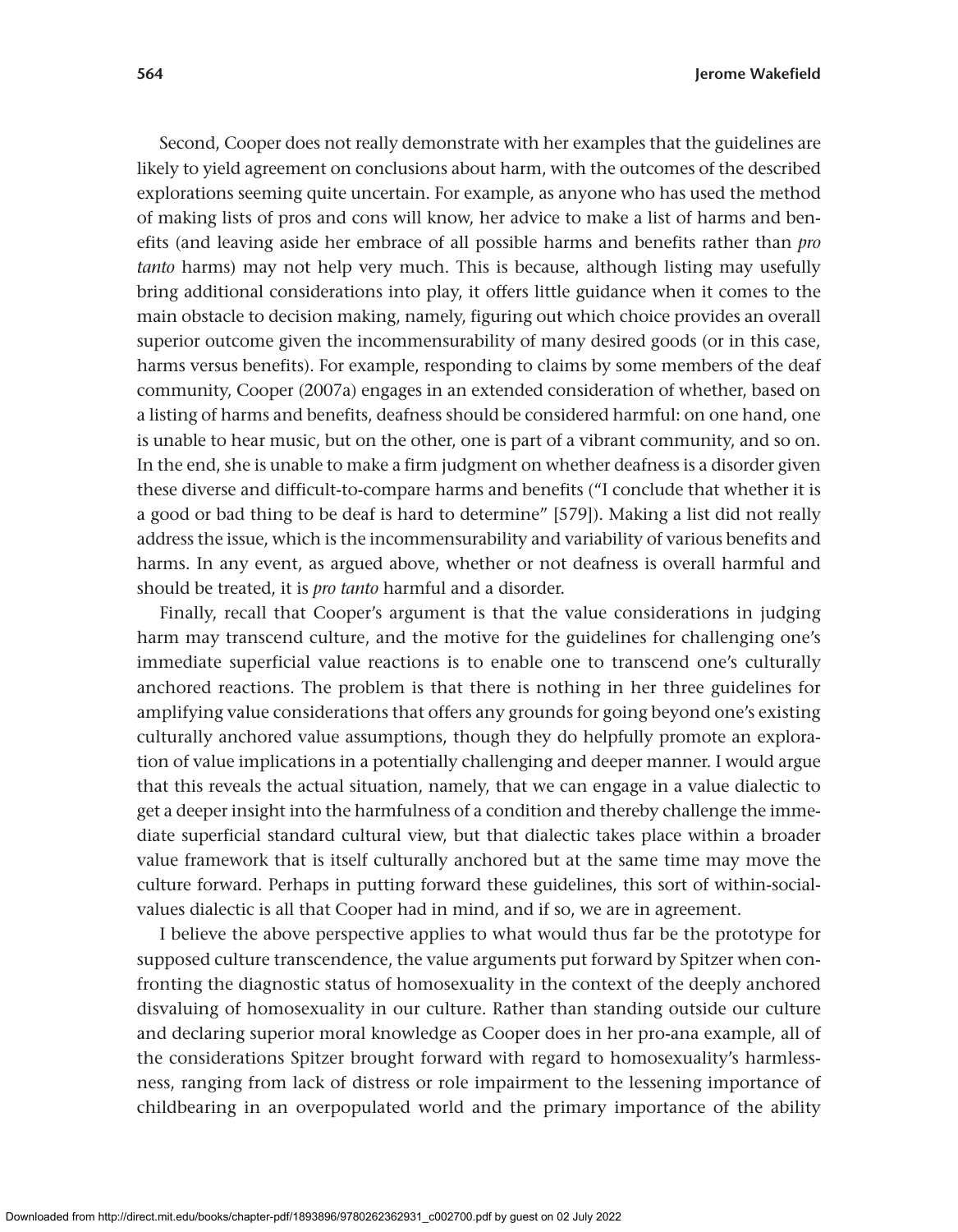Second, Cooper does not really demonstrate with her examples that the guidelines are likely to yield agreement on conclusions about harm, with the outcomes of the described explorations seeming quite uncertain. For example, as anyone who has used the method of making lists of pros and cons will know, her advice to make a list of harms and benefits (and leaving aside her embrace of all possible harms and benefits rather than *pro tanto* harms) may not help very much. This is because, although listing may usefully bring additional considerations into play, it offers little guidance when it comes to the main obstacle to decision making, namely, figuring out which choice provides an overall superior outcome given the incommensurability of many desired goods (or in this case, harms versus benefits). For example, responding to claims by some members of the deaf community, Cooper (2007a) engages in an extended consideration of whether, based on a listing of harms and benefits, deafness should be considered harmful: on one hand, one is unable to hear music, but on the other, one is part of a vibrant community, and so on. In the end, she is unable to make a firm judgment on whether deafness is a disorder given these diverse and difficult-to-compare harms and benefits ("I conclude that whether it is a good or bad thing to be deaf is hard to determine" [579]). Making a list did not really address the issue, which is the incommensurability and variability of various benefits and harms. In any event, as argued above, whether or not deafness is overall harmful and should be treated, it is *pro tanto* harmful and a disorder.

Finally, recall that Cooper's argument is that the value considerations in judging harm may transcend culture, and the motive for the guidelines for challenging one's immediate superficial value reactions is to enable one to transcend one's culturally anchored reactions. The problem is that there is nothing in her three guidelines for amplifying value considerations that offers any grounds for going beyond one's existing culturally anchored value assumptions, though they do helpfully promote an exploration of value implications in a potentially challenging and deeper manner. I would argue that this reveals the actual situation, namely, that we can engage in a value dialectic to get a deeper insight into the harmfulness of a condition and thereby challenge the immediate superficial standard cultural view, but that dialectic takes place within a broader value framework that is itself culturally anchored but at the same time may move the culture forward. Perhaps in putting forward these guidelines, this sort of within-socialvalues dialectic is all that Cooper had in mind, and if so, we are in agreement.

I believe the above perspective applies to what would thus far be the prototype for supposed culture transcendence, the value arguments put forward by Spitzer when confronting the diagnostic status of homosexuality in the context of the deeply anchored disvaluing of homosexuality in our culture. Rather than standing outside our culture and declaring superior moral knowledge as Cooper does in her pro-ana example, all of the considerations Spitzer brought forward with regard to homosexuality's harmlessness, ranging from lack of distress or role impairment to the lessening importance of childbearing in an overpopulated world and the primary importance of the ability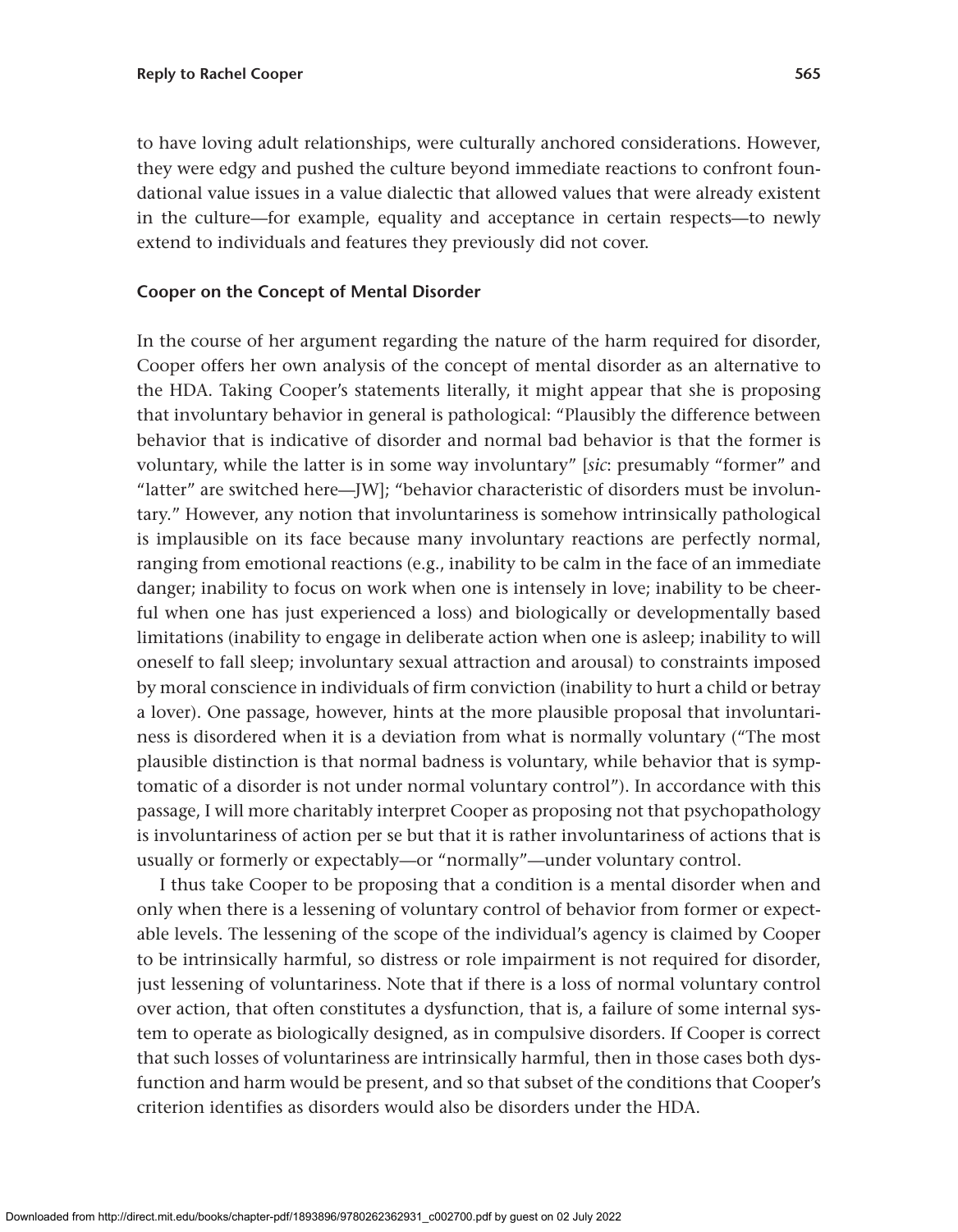to have loving adult relationships, were culturally anchored considerations. However, they were edgy and pushed the culture beyond immediate reactions to confront foundational value issues in a value dialectic that allowed values that were already existent in the culture—for example, equality and acceptance in certain respects—to newly extend to individuals and features they previously did not cover.

#### **Cooper on the Concept of Mental Disorder**

In the course of her argument regarding the nature of the harm required for disorder, Cooper offers her own analysis of the concept of mental disorder as an alternative to the HDA. Taking Cooper's statements literally, it might appear that she is proposing that involuntary behavior in general is pathological: "Plausibly the difference between behavior that is indicative of disorder and normal bad behavior is that the former is voluntary, while the latter is in some way involuntary" [*sic*: presumably "former" and "latter" are switched here—JW]; "behavior characteristic of disorders must be involuntary." However, any notion that involuntariness is somehow intrinsically pathological is implausible on its face because many involuntary reactions are perfectly normal, ranging from emotional reactions (e.g., inability to be calm in the face of an immediate danger; inability to focus on work when one is intensely in love; inability to be cheerful when one has just experienced a loss) and biologically or developmentally based limitations (inability to engage in deliberate action when one is asleep; inability to will oneself to fall sleep; involuntary sexual attraction and arousal) to constraints imposed by moral conscience in individuals of firm conviction (inability to hurt a child or betray a lover). One passage, however, hints at the more plausible proposal that involuntariness is disordered when it is a deviation from what is normally voluntary ("The most plausible distinction is that normal badness is voluntary, while behavior that is symptomatic of a disorder is not under normal voluntary control"). In accordance with this passage, I will more charitably interpret Cooper as proposing not that psychopathology is involuntariness of action per se but that it is rather involuntariness of actions that is usually or formerly or expectably—or "normally"—under voluntary control.

I thus take Cooper to be proposing that a condition is a mental disorder when and only when there is a lessening of voluntary control of behavior from former or expectable levels. The lessening of the scope of the individual's agency is claimed by Cooper to be intrinsically harmful, so distress or role impairment is not required for disorder, just lessening of voluntariness. Note that if there is a loss of normal voluntary control over action, that often constitutes a dysfunction, that is, a failure of some internal system to operate as biologically designed, as in compulsive disorders. If Cooper is correct that such losses of voluntariness are intrinsically harmful, then in those cases both dysfunction and harm would be present, and so that subset of the conditions that Cooper's criterion identifies as disorders would also be disorders under the HDA.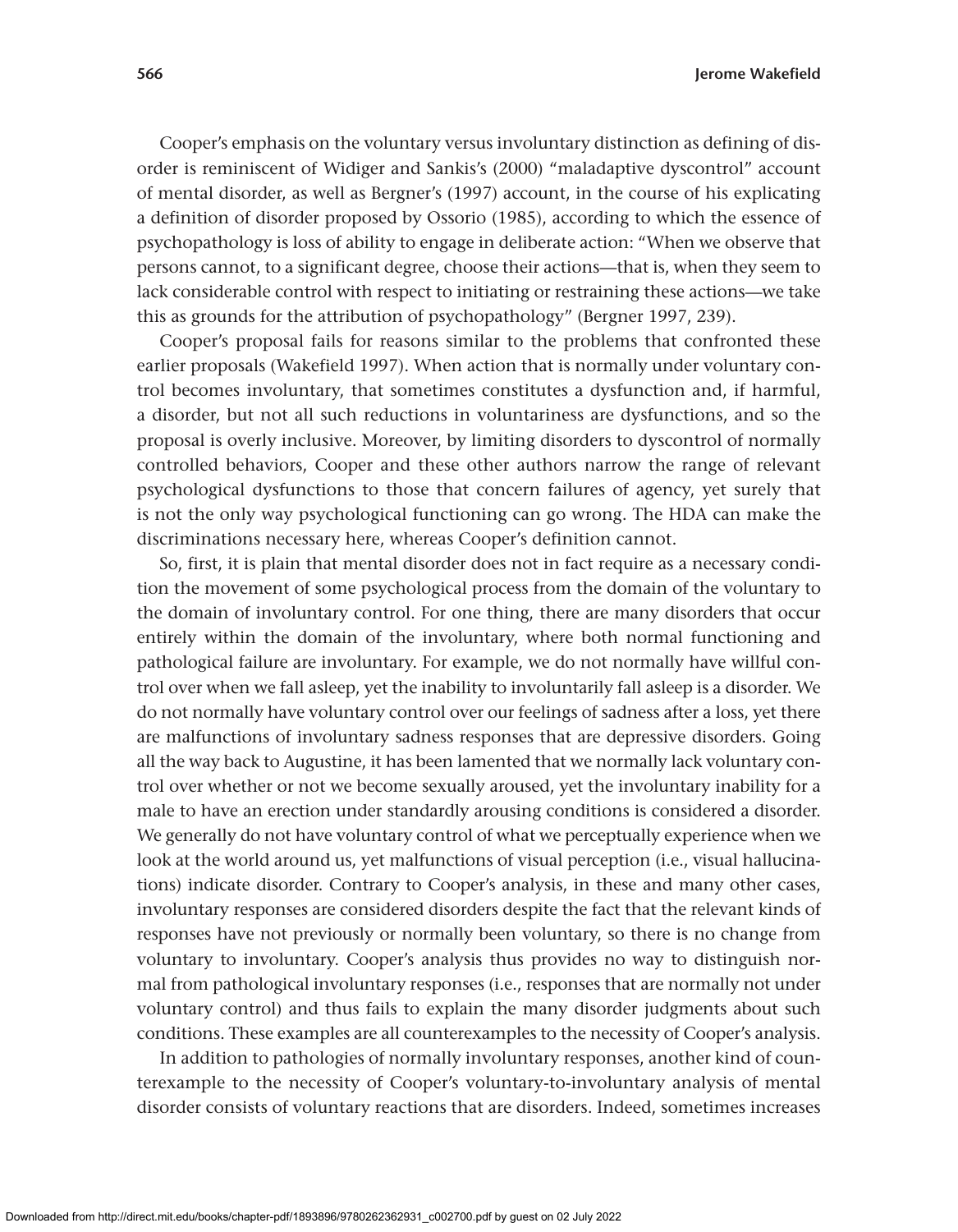Cooper's emphasis on the voluntary versus involuntary distinction as defining of disorder is reminiscent of Widiger and Sankis's (2000) "maladaptive dyscontrol" account of mental disorder, as well as Bergner's (1997) account, in the course of his explicating a definition of disorder proposed by Ossorio (1985), according to which the essence of psychopathology is loss of ability to engage in deliberate action: "When we observe that persons cannot, to a significant degree, choose their actions—that is, when they seem to lack considerable control with respect to initiating or restraining these actions—we take this as grounds for the attribution of psychopathology" (Bergner 1997, 239).

Cooper's proposal fails for reasons similar to the problems that confronted these earlier proposals (Wakefield 1997). When action that is normally under voluntary control becomes involuntary, that sometimes constitutes a dysfunction and, if harmful, a disorder, but not all such reductions in voluntariness are dysfunctions, and so the proposal is overly inclusive. Moreover, by limiting disorders to dyscontrol of normally controlled behaviors, Cooper and these other authors narrow the range of relevant psychological dysfunctions to those that concern failures of agency, yet surely that is not the only way psychological functioning can go wrong. The HDA can make the discriminations necessary here, whereas Cooper's definition cannot.

So, first, it is plain that mental disorder does not in fact require as a necessary condition the movement of some psychological process from the domain of the voluntary to the domain of involuntary control. For one thing, there are many disorders that occur entirely within the domain of the involuntary, where both normal functioning and pathological failure are involuntary. For example, we do not normally have willful control over when we fall asleep, yet the inability to involuntarily fall asleep is a disorder. We do not normally have voluntary control over our feelings of sadness after a loss, yet there are malfunctions of involuntary sadness responses that are depressive disorders. Going all the way back to Augustine, it has been lamented that we normally lack voluntary control over whether or not we become sexually aroused, yet the involuntary inability for a male to have an erection under standardly arousing conditions is considered a disorder. We generally do not have voluntary control of what we perceptually experience when we look at the world around us, yet malfunctions of visual perception (i.e., visual hallucinations) indicate disorder. Contrary to Cooper's analysis, in these and many other cases, involuntary responses are considered disorders despite the fact that the relevant kinds of responses have not previously or normally been voluntary, so there is no change from voluntary to involuntary. Cooper's analysis thus provides no way to distinguish normal from pathological involuntary responses (i.e., responses that are normally not under voluntary control) and thus fails to explain the many disorder judgments about such conditions. These examples are all counterexamples to the necessity of Cooper's analysis.

In addition to pathologies of normally involuntary responses, another kind of counterexample to the necessity of Cooper's voluntary-to-involuntary analysis of mental disorder consists of voluntary reactions that are disorders. Indeed, sometimes increases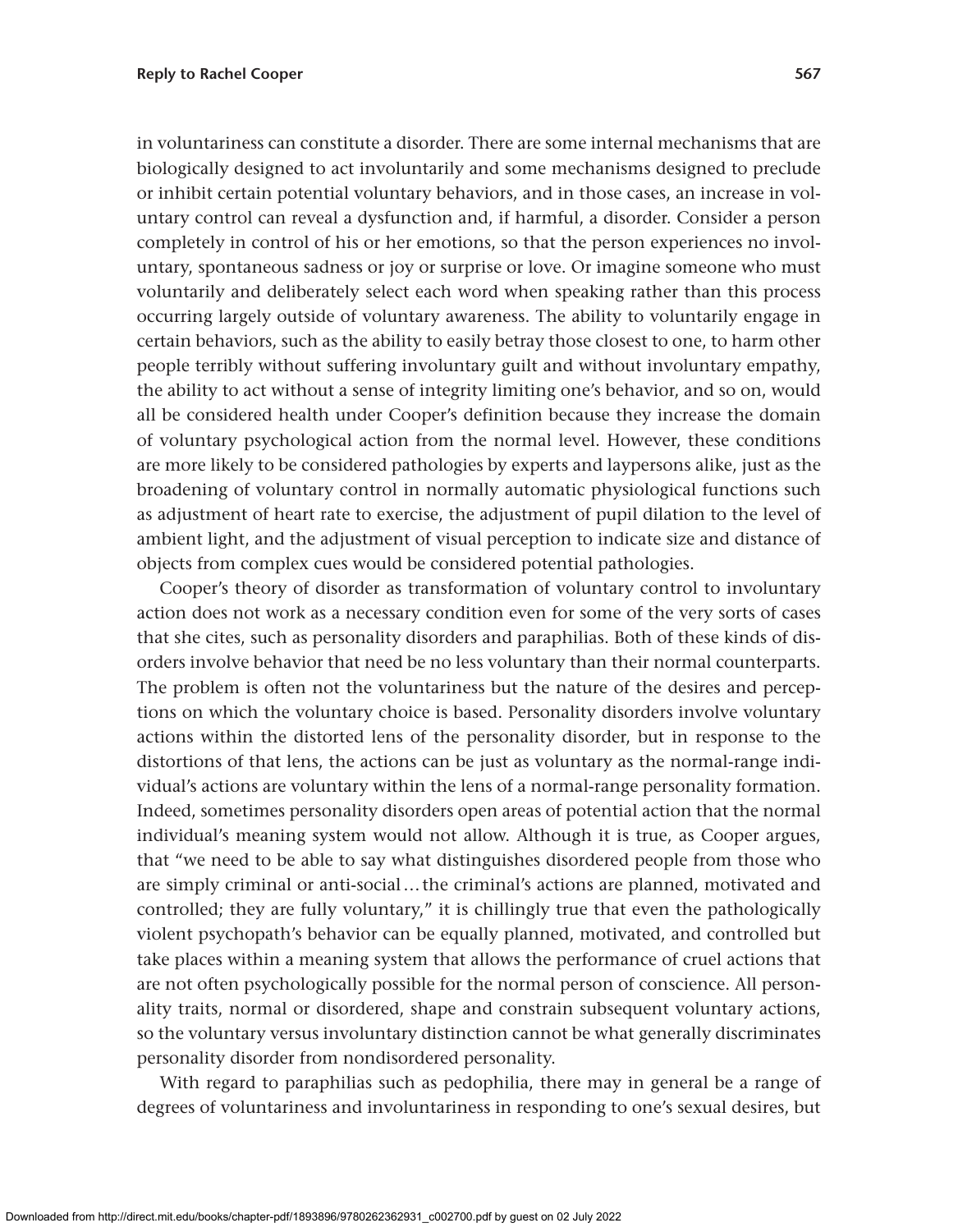in voluntariness can constitute a disorder. There are some internal mechanisms that are biologically designed to act involuntarily and some mechanisms designed to preclude or inhibit certain potential voluntary behaviors, and in those cases, an increase in voluntary control can reveal a dysfunction and, if harmful, a disorder. Consider a person completely in control of his or her emotions, so that the person experiences no involuntary, spontaneous sadness or joy or surprise or love. Or imagine someone who must voluntarily and deliberately select each word when speaking rather than this process occurring largely outside of voluntary awareness. The ability to voluntarily engage in certain behaviors, such as the ability to easily betray those closest to one, to harm other people terribly without suffering involuntary guilt and without involuntary empathy, the ability to act without a sense of integrity limiting one's behavior, and so on, would all be considered health under Cooper's definition because they increase the domain of voluntary psychological action from the normal level. However, these conditions are more likely to be considered pathologies by experts and laypersons alike, just as the broadening of voluntary control in normally automatic physiological functions such as adjustment of heart rate to exercise, the adjustment of pupil dilation to the level of ambient light, and the adjustment of visual perception to indicate size and distance of objects from complex cues would be considered potential pathologies.

Cooper's theory of disorder as transformation of voluntary control to involuntary action does not work as a necessary condition even for some of the very sorts of cases that she cites, such as personality disorders and paraphilias. Both of these kinds of disorders involve behavior that need be no less voluntary than their normal counterparts. The problem is often not the voluntariness but the nature of the desires and perceptions on which the voluntary choice is based. Personality disorders involve voluntary actions within the distorted lens of the personality disorder, but in response to the distortions of that lens, the actions can be just as voluntary as the normal-range individual's actions are voluntary within the lens of a normal-range personality formation. Indeed, sometimes personality disorders open areas of potential action that the normal individual's meaning system would not allow. Although it is true, as Cooper argues, that "we need to be able to say what distinguishes disordered people from those who are simply criminal or anti-social…the criminal's actions are planned, motivated and controlled; they are fully voluntary," it is chillingly true that even the pathologically violent psychopath's behavior can be equally planned, motivated, and controlled but take places within a meaning system that allows the performance of cruel actions that are not often psychologically possible for the normal person of conscience. All personality traits, normal or disordered, shape and constrain subsequent voluntary actions, so the voluntary versus involuntary distinction cannot be what generally discriminates personality disorder from nondisordered personality.

With regard to paraphilias such as pedophilia, there may in general be a range of degrees of voluntariness and involuntariness in responding to one's sexual desires, but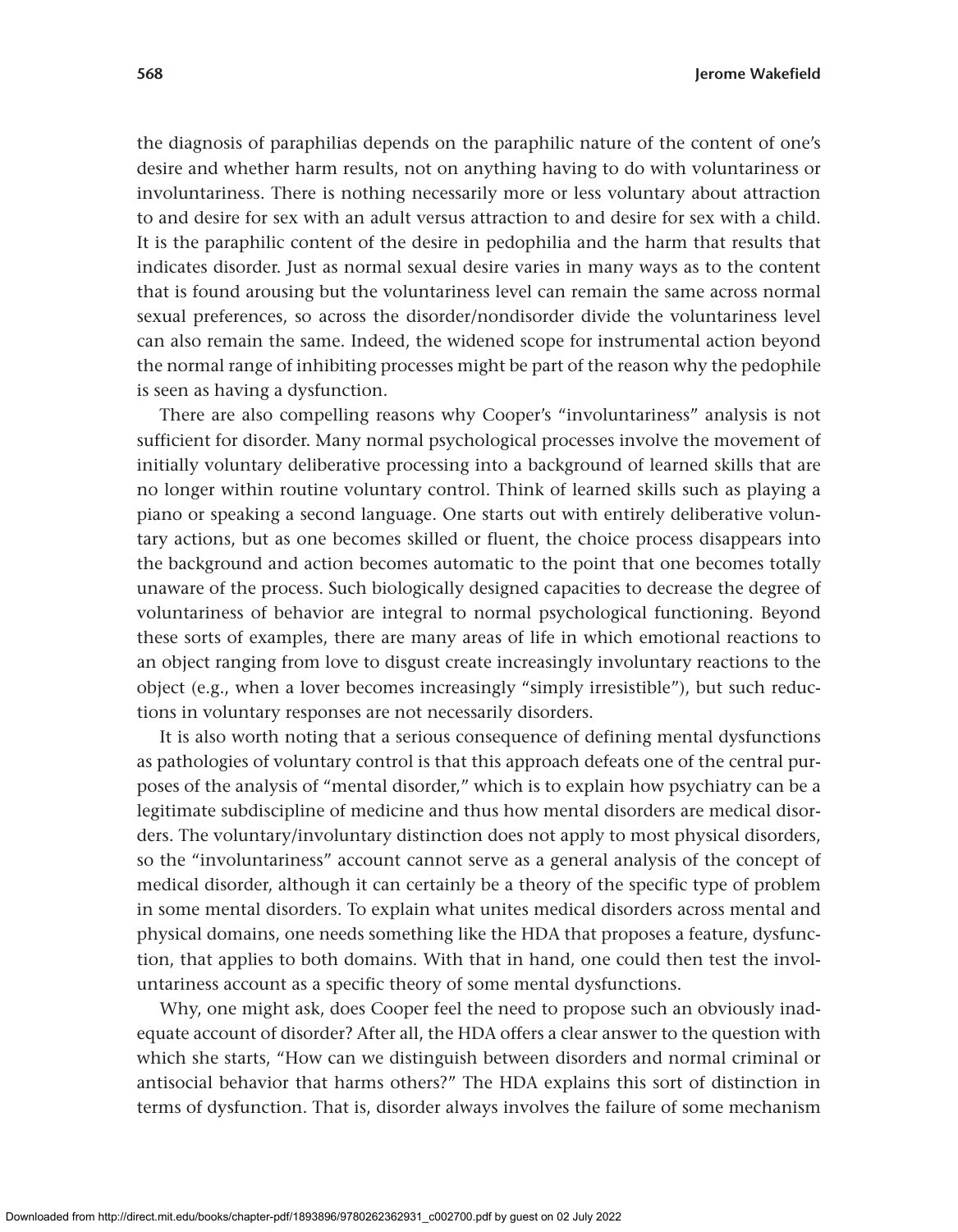the diagnosis of paraphilias depends on the paraphilic nature of the content of one's desire and whether harm results, not on anything having to do with voluntariness or involuntariness. There is nothing necessarily more or less voluntary about attraction to and desire for sex with an adult versus attraction to and desire for sex with a child. It is the paraphilic content of the desire in pedophilia and the harm that results that indicates disorder. Just as normal sexual desire varies in many ways as to the content that is found arousing but the voluntariness level can remain the same across normal sexual preferences, so across the disorder/nondisorder divide the voluntariness level can also remain the same. Indeed, the widened scope for instrumental action beyond the normal range of inhibiting processes might be part of the reason why the pedophile is seen as having a dysfunction.

There are also compelling reasons why Cooper's "involuntariness" analysis is not sufficient for disorder. Many normal psychological processes involve the movement of initially voluntary deliberative processing into a background of learned skills that are no longer within routine voluntary control. Think of learned skills such as playing a piano or speaking a second language. One starts out with entirely deliberative voluntary actions, but as one becomes skilled or fluent, the choice process disappears into the background and action becomes automatic to the point that one becomes totally unaware of the process. Such biologically designed capacities to decrease the degree of voluntariness of behavior are integral to normal psychological functioning. Beyond these sorts of examples, there are many areas of life in which emotional reactions to an object ranging from love to disgust create increasingly involuntary reactions to the object (e.g., when a lover becomes increasingly "simply irresistible"), but such reductions in voluntary responses are not necessarily disorders.

It is also worth noting that a serious consequence of defining mental dysfunctions as pathologies of voluntary control is that this approach defeats one of the central purposes of the analysis of "mental disorder," which is to explain how psychiatry can be a legitimate subdiscipline of medicine and thus how mental disorders are medical disorders. The voluntary/involuntary distinction does not apply to most physical disorders, so the "involuntariness" account cannot serve as a general analysis of the concept of medical disorder, although it can certainly be a theory of the specific type of problem in some mental disorders. To explain what unites medical disorders across mental and physical domains, one needs something like the HDA that proposes a feature, dysfunction, that applies to both domains. With that in hand, one could then test the involuntariness account as a specific theory of some mental dysfunctions.

Why, one might ask, does Cooper feel the need to propose such an obviously inadequate account of disorder? After all, the HDA offers a clear answer to the question with which she starts, "How can we distinguish between disorders and normal criminal or antisocial behavior that harms others?" The HDA explains this sort of distinction in terms of dysfunction. That is, disorder always involves the failure of some mechanism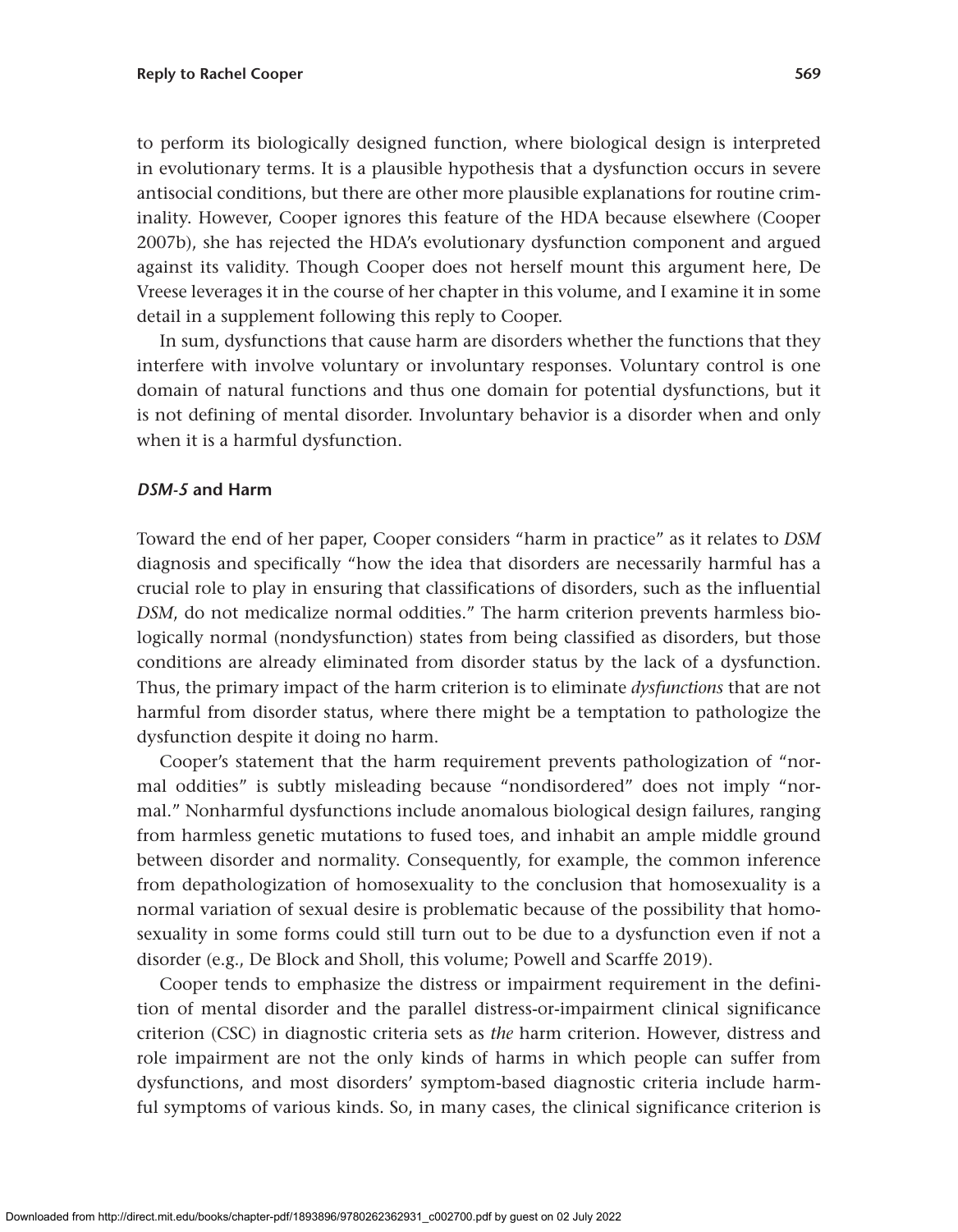to perform its biologically designed function, where biological design is interpreted in evolutionary terms. It is a plausible hypothesis that a dysfunction occurs in severe antisocial conditions, but there are other more plausible explanations for routine criminality. However, Cooper ignores this feature of the HDA because elsewhere (Cooper 2007b), she has rejected the HDA's evolutionary dysfunction component and argued against its validity. Though Cooper does not herself mount this argument here, De Vreese leverages it in the course of her chapter in this volume, and I examine it in some detail in a supplement following this reply to Cooper.

In sum, dysfunctions that cause harm are disorders whether the functions that they interfere with involve voluntary or involuntary responses. Voluntary control is one domain of natural functions and thus one domain for potential dysfunctions, but it is not defining of mental disorder. Involuntary behavior is a disorder when and only when it is a harmful dysfunction.

#### *DSM-5* **and Harm**

Toward the end of her paper, Cooper considers "harm in practice" as it relates to *DSM* diagnosis and specifically "how the idea that disorders are necessarily harmful has a crucial role to play in ensuring that classifications of disorders, such as the influential *DSM*, do not medicalize normal oddities." The harm criterion prevents harmless biologically normal (nondysfunction) states from being classified as disorders, but those conditions are already eliminated from disorder status by the lack of a dysfunction. Thus, the primary impact of the harm criterion is to eliminate *dysfunctions* that are not harmful from disorder status, where there might be a temptation to pathologize the dysfunction despite it doing no harm.

Cooper's statement that the harm requirement prevents pathologization of "normal oddities" is subtly misleading because "nondisordered" does not imply "normal." Nonharmful dysfunctions include anomalous biological design failures, ranging from harmless genetic mutations to fused toes, and inhabit an ample middle ground between disorder and normality. Consequently, for example, the common inference from depathologization of homosexuality to the conclusion that homosexuality is a normal variation of sexual desire is problematic because of the possibility that homosexuality in some forms could still turn out to be due to a dysfunction even if not a disorder (e.g., De Block and Sholl, this volume; Powell and Scarffe 2019).

Cooper tends to emphasize the distress or impairment requirement in the definition of mental disorder and the parallel distress-or-impairment clinical significance criterion (CSC) in diagnostic criteria sets as *the* harm criterion. However, distress and role impairment are not the only kinds of harms in which people can suffer from dysfunctions, and most disorders' symptom-based diagnostic criteria include harmful symptoms of various kinds. So, in many cases, the clinical significance criterion is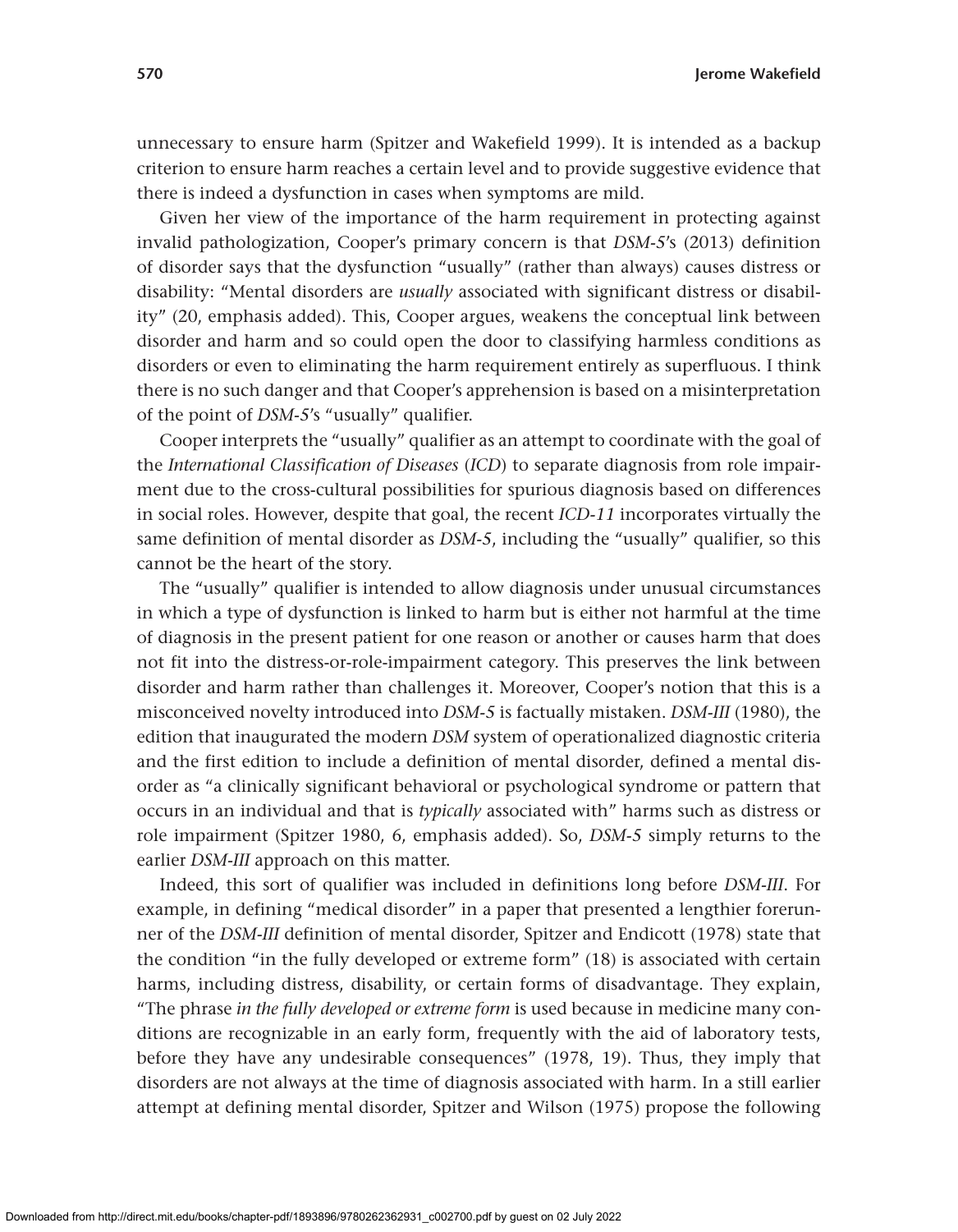unnecessary to ensure harm (Spitzer and Wakefield 1999). It is intended as a backup criterion to ensure harm reaches a certain level and to provide suggestive evidence that there is indeed a dysfunction in cases when symptoms are mild.

Given her view of the importance of the harm requirement in protecting against invalid pathologization, Cooper's primary concern is that *DSM-5*'s (2013) definition of disorder says that the dysfunction "usually" (rather than always) causes distress or disability: "Mental disorders are *usually* associated with significant distress or disability" (20, emphasis added). This, Cooper argues, weakens the conceptual link between disorder and harm and so could open the door to classifying harmless conditions as disorders or even to eliminating the harm requirement entirely as superfluous. I think there is no such danger and that Cooper's apprehension is based on a misinterpretation of the point of *DSM-5*'s "usually" qualifier.

Cooper interprets the "usually" qualifier as an attempt to coordinate with the goal of the *International Classification of Diseases* (*ICD*) to separate diagnosis from role impairment due to the cross-cultural possibilities for spurious diagnosis based on differences in social roles. However, despite that goal, the recent *ICD-11* incorporates virtually the same definition of mental disorder as *DSM-5*, including the "usually" qualifier, so this cannot be the heart of the story.

The "usually" qualifier is intended to allow diagnosis under unusual circumstances in which a type of dysfunction is linked to harm but is either not harmful at the time of diagnosis in the present patient for one reason or another or causes harm that does not fit into the distress-or-role-impairment category. This preserves the link between disorder and harm rather than challenges it. Moreover, Cooper's notion that this is a misconceived novelty introduced into *DSM-5* is factually mistaken. *DSM-III* (1980), the edition that inaugurated the modern *DSM* system of operationalized diagnostic criteria and the first edition to include a definition of mental disorder, defined a mental disorder as "a clinically significant behavioral or psychological syndrome or pattern that occurs in an individual and that is *typically* associated with" harms such as distress or role impairment (Spitzer 1980, 6, emphasis added). So, *DSM-5* simply returns to the earlier *DSM-III* approach on this matter.

Indeed, this sort of qualifier was included in definitions long before *DSM-III*. For example, in defining "medical disorder" in a paper that presented a lengthier forerunner of the *DSM-III* definition of mental disorder, Spitzer and Endicott (1978) state that the condition "in the fully developed or extreme form" (18) is associated with certain harms, including distress, disability, or certain forms of disadvantage. They explain, "The phrase *in the fully developed or extreme form* is used because in medicine many conditions are recognizable in an early form, frequently with the aid of laboratory tests, before they have any undesirable consequences" (1978, 19). Thus, they imply that disorders are not always at the time of diagnosis associated with harm. In a still earlier attempt at defining mental disorder, Spitzer and Wilson (1975) propose the following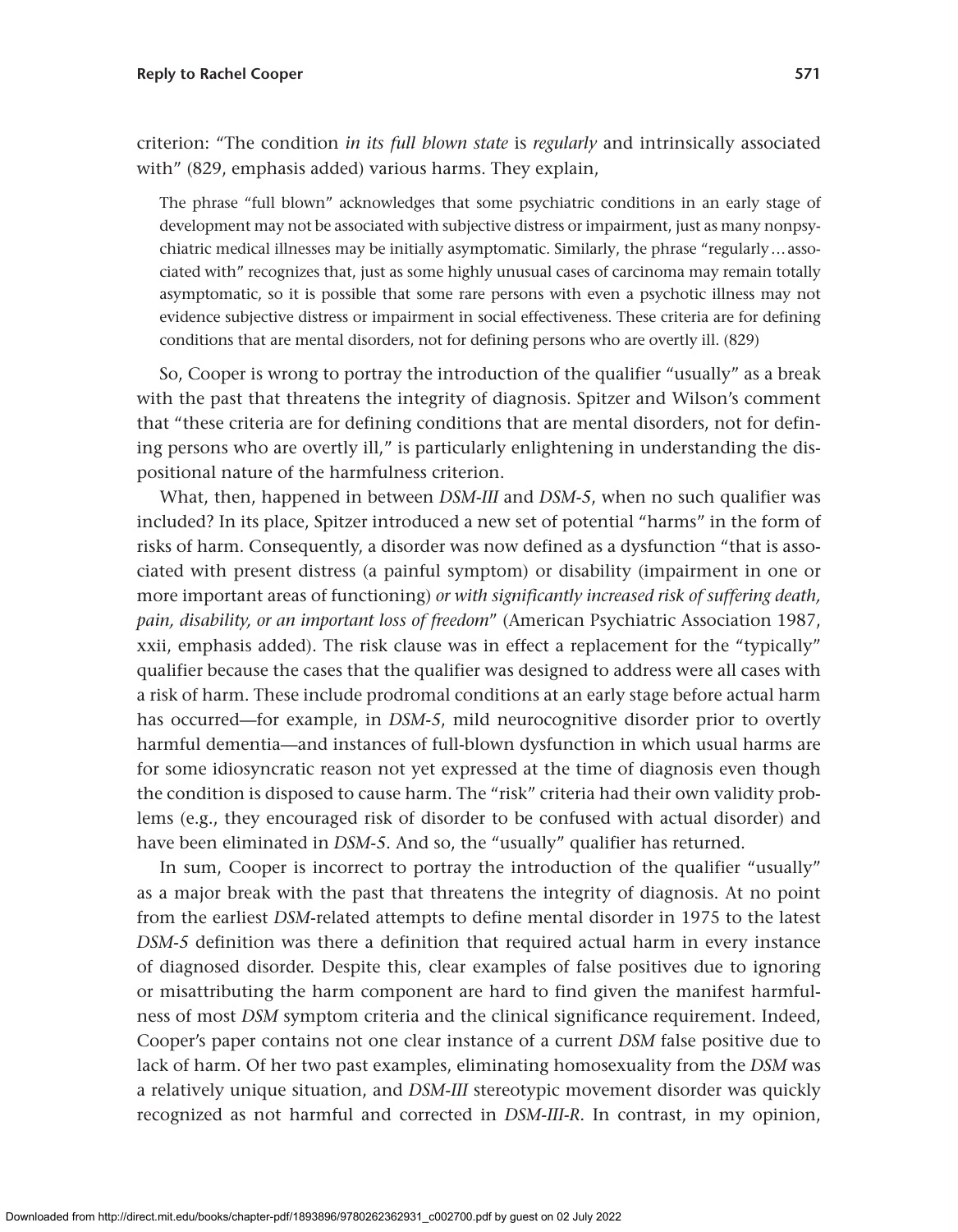criterion: "The condition *in its full blown state* is *regularly* and intrinsically associated with" (829, emphasis added) various harms. They explain,

The phrase "full blown" acknowledges that some psychiatric conditions in an early stage of development may not be associated with subjective distress or impairment, just as many nonpsychiatric medical illnesses may be initially asymptomatic. Similarly, the phrase "regularly…associated with" recognizes that, just as some highly unusual cases of carcinoma may remain totally asymptomatic, so it is possible that some rare persons with even a psychotic illness may not evidence subjective distress or impairment in social effectiveness. These criteria are for defining conditions that are mental disorders, not for defining persons who are overtly ill. (829)

So, Cooper is wrong to portray the introduction of the qualifier "usually" as a break with the past that threatens the integrity of diagnosis. Spitzer and Wilson's comment that "these criteria are for defining conditions that are mental disorders, not for defining persons who are overtly ill," is particularly enlightening in understanding the dispositional nature of the harmfulness criterion.

What, then, happened in between *DSM-III* and *DSM-5*, when no such qualifier was included? In its place, Spitzer introduced a new set of potential "harms" in the form of risks of harm. Consequently, a disorder was now defined as a dysfunction "that is associated with present distress (a painful symptom) or disability (impairment in one or more important areas of functioning) *or with significantly increased risk of suffering death, pain, disability, or an important loss of freedom*" (American Psychiatric Association 1987, xxii, emphasis added). The risk clause was in effect a replacement for the "typically" qualifier because the cases that the qualifier was designed to address were all cases with a risk of harm. These include prodromal conditions at an early stage before actual harm has occurred—for example, in *DSM-5*, mild neurocognitive disorder prior to overtly harmful dementia—and instances of full-blown dysfunction in which usual harms are for some idiosyncratic reason not yet expressed at the time of diagnosis even though the condition is disposed to cause harm. The "risk" criteria had their own validity problems (e.g., they encouraged risk of disorder to be confused with actual disorder) and have been eliminated in *DSM-5*. And so, the "usually" qualifier has returned.

In sum, Cooper is incorrect to portray the introduction of the qualifier "usually" as a major break with the past that threatens the integrity of diagnosis. At no point from the earliest *DSM*-related attempts to define mental disorder in 1975 to the latest *DSM-5* definition was there a definition that required actual harm in every instance of diagnosed disorder. Despite this, clear examples of false positives due to ignoring or misattributing the harm component are hard to find given the manifest harmfulness of most *DSM* symptom criteria and the clinical significance requirement. Indeed, Cooper's paper contains not one clear instance of a current *DSM* false positive due to lack of harm. Of her two past examples, eliminating homosexuality from the *DSM* was a relatively unique situation, and *DSM-III* stereotypic movement disorder was quickly recognized as not harmful and corrected in *DSM-III-R*. In contrast, in my opinion,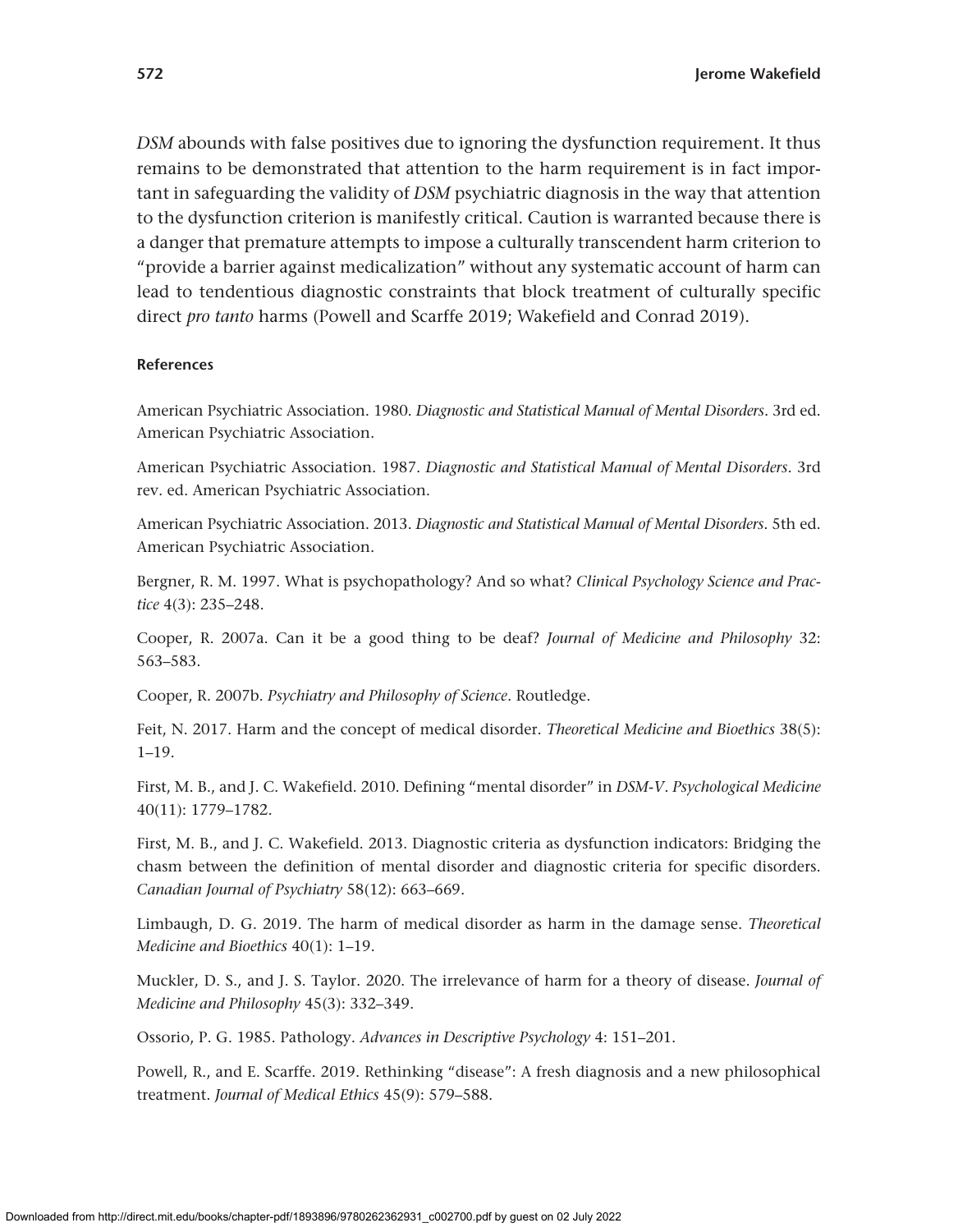*DSM* abounds with false positives due to ignoring the dysfunction requirement. It thus remains to be demonstrated that attention to the harm requirement is in fact important in safeguarding the validity of *DSM* psychiatric diagnosis in the way that attention to the dysfunction criterion is manifestly critical. Caution is warranted because there is a danger that premature attempts to impose a culturally transcendent harm criterion to "provide a barrier against medicalization" without any systematic account of harm can lead to tendentious diagnostic constraints that block treatment of culturally specific direct *pro tanto* harms (Powell and Scarffe 2019; Wakefield and Conrad 2019).

#### **References**

American Psychiatric Association. 1980. *Diagnostic and Statistical Manual of Mental Disorders*. 3rd ed. American Psychiatric Association.

American Psychiatric Association. 1987. *Diagnostic and Statistical Manual of Mental Disorders*. 3rd rev. ed. American Psychiatric Association.

American Psychiatric Association. 2013. *Diagnostic and Statistical Manual of Mental Disorders*. 5th ed. American Psychiatric Association.

Bergner, R. M. 1997. What is psychopathology? And so what? *Clinical Psychology Science and Practice* 4(3): 235–248.

Cooper, R. 2007a. Can it be a good thing to be deaf? *Journal of Medicine and Philosophy* 32: 563–583.

Cooper, R. 2007b. *Psychiatry and Philosophy of Science*. Routledge.

Feit, N. 2017. Harm and the concept of medical disorder. *Theoretical Medicine and Bioethics* 38(5): 1–19.

First, M. B., and J. C. Wakefield. 2010. Defining "mental disorder" in *DSM-V*. *Psychological Medicine* 40(11): 1779–1782.

First, M. B., and J. C. Wakefield. 2013. Diagnostic criteria as dysfunction indicators: Bridging the chasm between the definition of mental disorder and diagnostic criteria for specific disorders. *Canadian Journal of Psychiatry* 58(12): 663–669.

Limbaugh, D. G. 2019. The harm of medical disorder as harm in the damage sense. *Theoretical Medicine and Bioethics* 40(1): 1–19.

Muckler, D. S., and J. S. Taylor. 2020. The irrelevance of harm for a theory of disease. *Journal of Medicine and Philosophy* 45(3): 332–349.

Ossorio, P. G. 1985. Pathology. *Advances in Descriptive Psychology* 4: 151–201.

Powell, R., and E. Scarffe. 2019. Rethinking "disease": A fresh diagnosis and a new philosophical treatment. *Journal of Medical Ethics* 45(9): 579–588.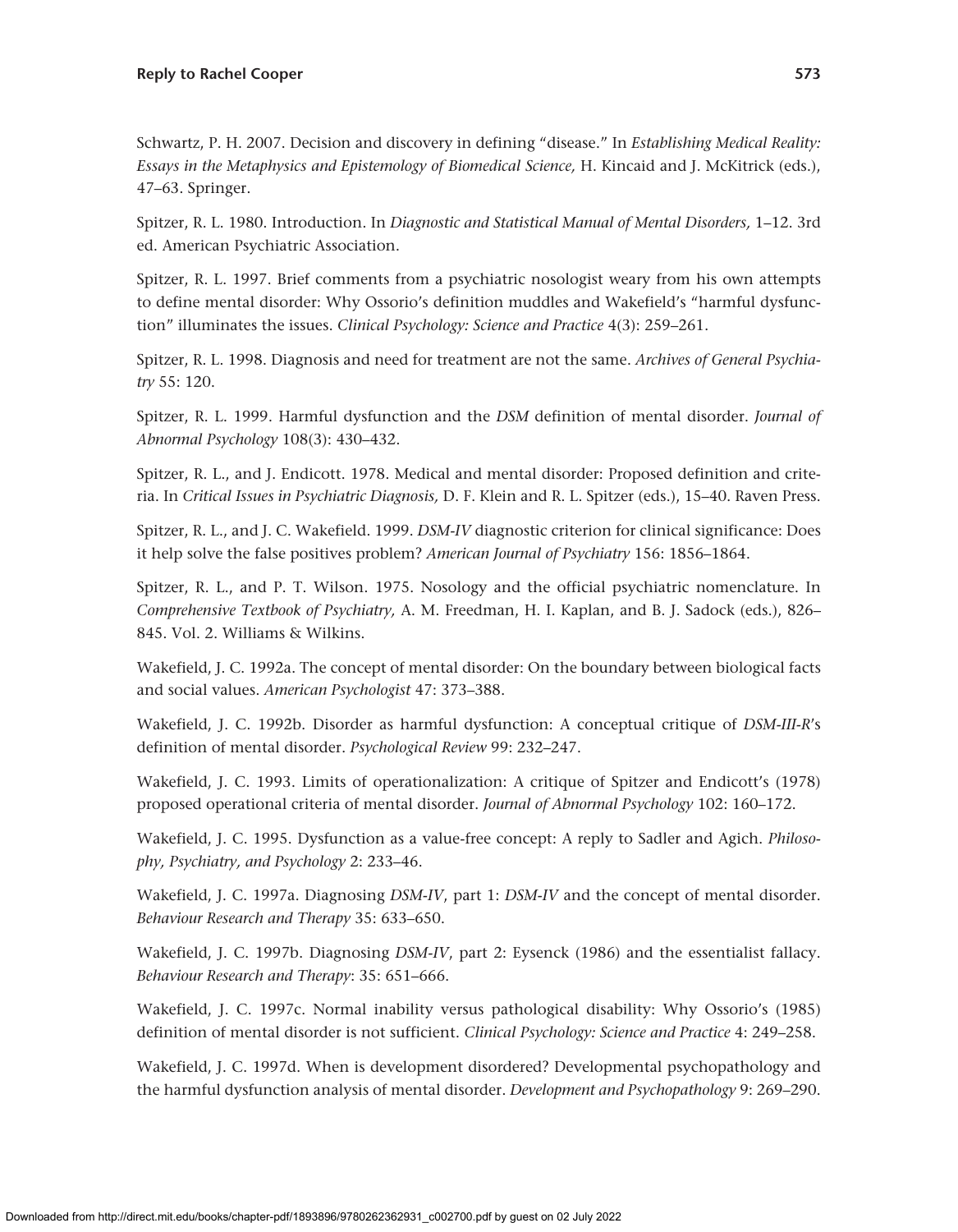Schwartz, P. H. 2007. Decision and discovery in defining "disease." In *Establishing Medical Reality: Essays in the Metaphysics and Epistemology of Biomedical Science,* H. Kincaid and J. McKitrick (eds.), 47–63. Springer.

Spitzer, R. L. 1980. Introduction. In *Diagnostic and Statistical Manual of Mental Disorders,* 1–12. 3rd ed. American Psychiatric Association.

Spitzer, R. L. 1997. Brief comments from a psychiatric nosologist weary from his own attempts to define mental disorder: Why Ossorio's definition muddles and Wakefield's "harmful dysfunction" illuminates the issues. *Clinical Psychology: Science and Practice* 4(3): 259–261.

Spitzer, R. L. 1998. Diagnosis and need for treatment are not the same. *Archives of General Psychiatry* 55: 120.

Spitzer, R. L. 1999. Harmful dysfunction and the *DSM* definition of mental disorder. *Journal of Abnormal Psychology* 108(3): 430–432.

Spitzer, R. L., and J. Endicott. 1978. Medical and mental disorder: Proposed definition and criteria. In *Critical Issues in Psychiatric Diagnosis,* D. F. Klein and R. L. Spitzer (eds.), 15–40. Raven Press.

Spitzer, R. L., and J. C. Wakefield. 1999. *DSM-IV* diagnostic criterion for clinical significance: Does it help solve the false positives problem? *American Journal of Psychiatry* 156: 1856–1864.

Spitzer, R. L., and P. T. Wilson. 1975. Nosology and the official psychiatric nomenclature. In *Comprehensive Textbook of Psychiatry,* A. M. Freedman, H. I. Kaplan, and B. J. Sadock (eds.), 826– 845. Vol. 2. Williams & Wilkins.

Wakefield, J. C. 1992a. The concept of mental disorder: On the boundary between biological facts and social values. *American Psychologist* 47: 373–388.

Wakefield, J. C. 1992b. Disorder as harmful dysfunction: A conceptual critique of *DSM-III-R*'s definition of mental disorder. *Psychological Review* 99: 232–247.

Wakefield, J. C. 1993. Limits of operationalization: A critique of Spitzer and Endicott's (1978) proposed operational criteria of mental disorder. *Journal of Abnormal Psychology* 102: 160–172.

Wakefield, J. C. 1995. Dysfunction as a value-free concept: A reply to Sadler and Agich. *Philosophy, Psychiatry, and Psychology* 2: 233–46.

Wakefield, J. C. 1997a. Diagnosing *DSM-IV*, part 1: *DSM-IV* and the concept of mental disorder. *Behaviour Research and Therapy* 35: 633–650.

Wakefield, J. C. 1997b. Diagnosing *DSM-IV*, part 2: Eysenck (1986) and the essentialist fallacy. *Behaviour Research and Therapy*: 35: 651–666.

Wakefield, J. C. 1997c. Normal inability versus pathological disability: Why Ossorio's (1985) definition of mental disorder is not sufficient. *Clinical Psychology: Science and Practice* 4: 249–258.

Wakefield, J. C. 1997d. When is development disordered? Developmental psychopathology and the harmful dysfunction analysis of mental disorder. *Development and Psychopathology* 9: 269–290.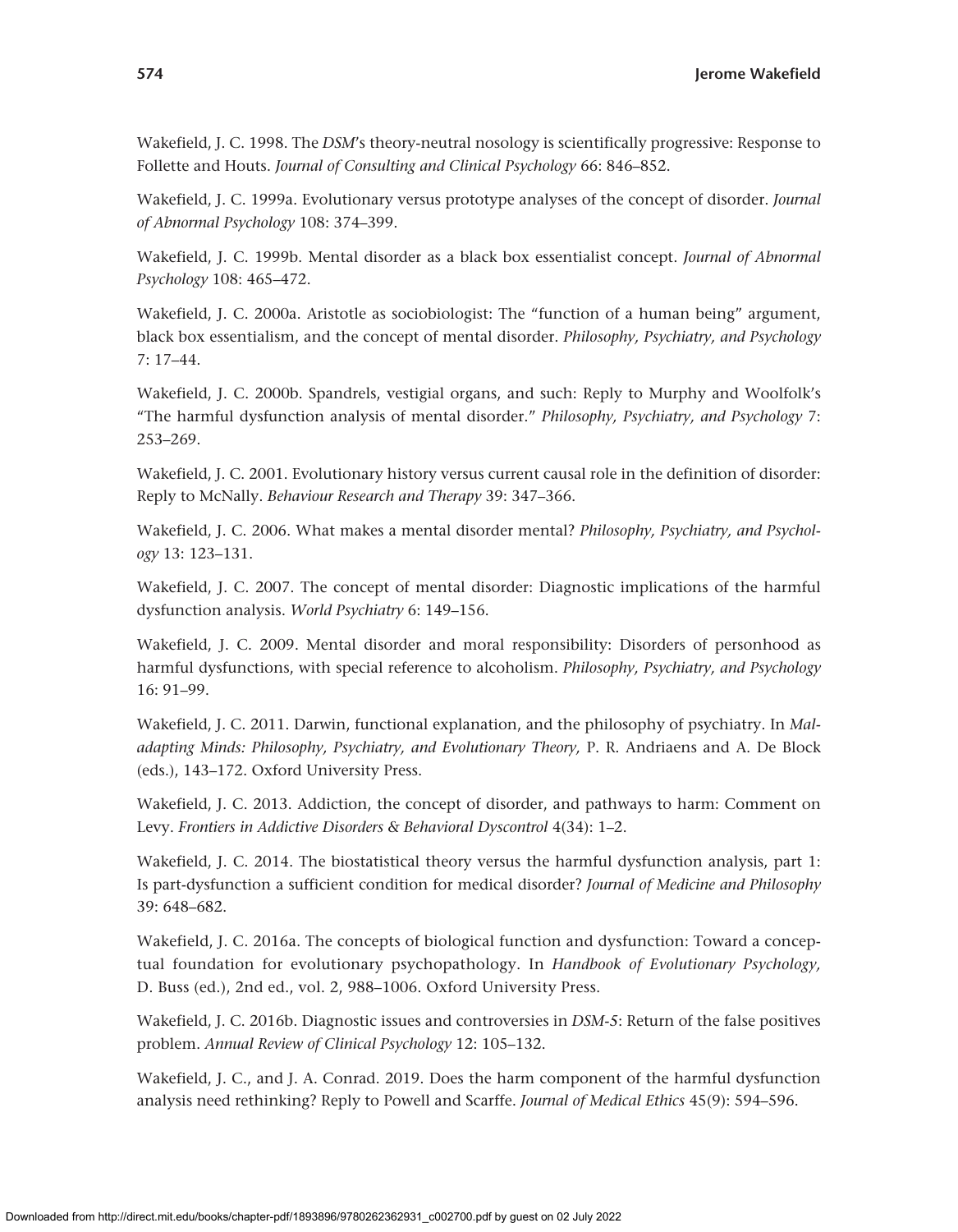Wakefield, J. C. 1998. The *DSM*'s theory-neutral nosology is scientifically progressive: Response to Follette and Houts. *Journal of Consulting and Clinical Psychology* 66: 846–852.

Wakefield, J. C. 1999a. Evolutionary versus prototype analyses of the concept of disorder. *Journal of Abnormal Psychology* 108: 374–399.

Wakefield, J. C. 1999b. Mental disorder as a black box essentialist concept. *Journal of Abnormal Psychology* 108: 465–472.

Wakefield, J. C. 2000a. Aristotle as sociobiologist: The "function of a human being" argument, black box essentialism, and the concept of mental disorder. *Philosophy, Psychiatry, and Psychology* 7: 17–44.

Wakefield, J. C. 2000b. Spandrels, vestigial organs, and such: Reply to Murphy and Woolfolk's "The harmful dysfunction analysis of mental disorder." *Philosophy, Psychiatry, and Psychology* 7: 253–269.

Wakefield, J. C. 2001. Evolutionary history versus current causal role in the definition of disorder: Reply to McNally. *Behaviour Research and Therapy* 39: 347–366.

Wakefield, J. C. 2006. What makes a mental disorder mental? *Philosophy, Psychiatry, and Psychology* 13: 123–131.

Wakefield, J. C. 2007. The concept of mental disorder: Diagnostic implications of the harmful dysfunction analysis. *World Psychiatry* 6: 149–156.

Wakefield, J. C. 2009. Mental disorder and moral responsibility: Disorders of personhood as harmful dysfunctions, with special reference to alcoholism. *Philosophy, Psychiatry, and Psychology* 16: 91–99.

Wakefield, J. C. 2011. Darwin, functional explanation, and the philosophy of psychiatry. In *Maladapting Minds: Philosophy, Psychiatry, and Evolutionary Theory,* P. R. Andriaens and A. De Block (eds.), 143–172. Oxford University Press.

Wakefield, J. C. 2013. Addiction, the concept of disorder, and pathways to harm: Comment on Levy. *Frontiers in Addictive Disorders & Behavioral Dyscontrol* 4(34): 1–2.

Wakefield, J. C. 2014. The biostatistical theory versus the harmful dysfunction analysis, part 1: Is part-dysfunction a sufficient condition for medical disorder? *Journal of Medicine and Philosophy* 39: 648–682.

Wakefield, J. C. 2016a. The concepts of biological function and dysfunction: Toward a conceptual foundation for evolutionary psychopathology. In *Handbook of Evolutionary Psychology,* D. Buss (ed.), 2nd ed., vol. 2, 988–1006. Oxford University Press.

Wakefield, J. C. 2016b. Diagnostic issues and controversies in *DSM-5*: Return of the false positives problem. *Annual Review of Clinical Psychology* 12: 105–132.

Wakefield, J. C., and J. A. Conrad. 2019. Does the harm component of the harmful dysfunction analysis need rethinking? Reply to Powell and Scarffe. *Journal of Medical Ethics* 45(9): 594–596.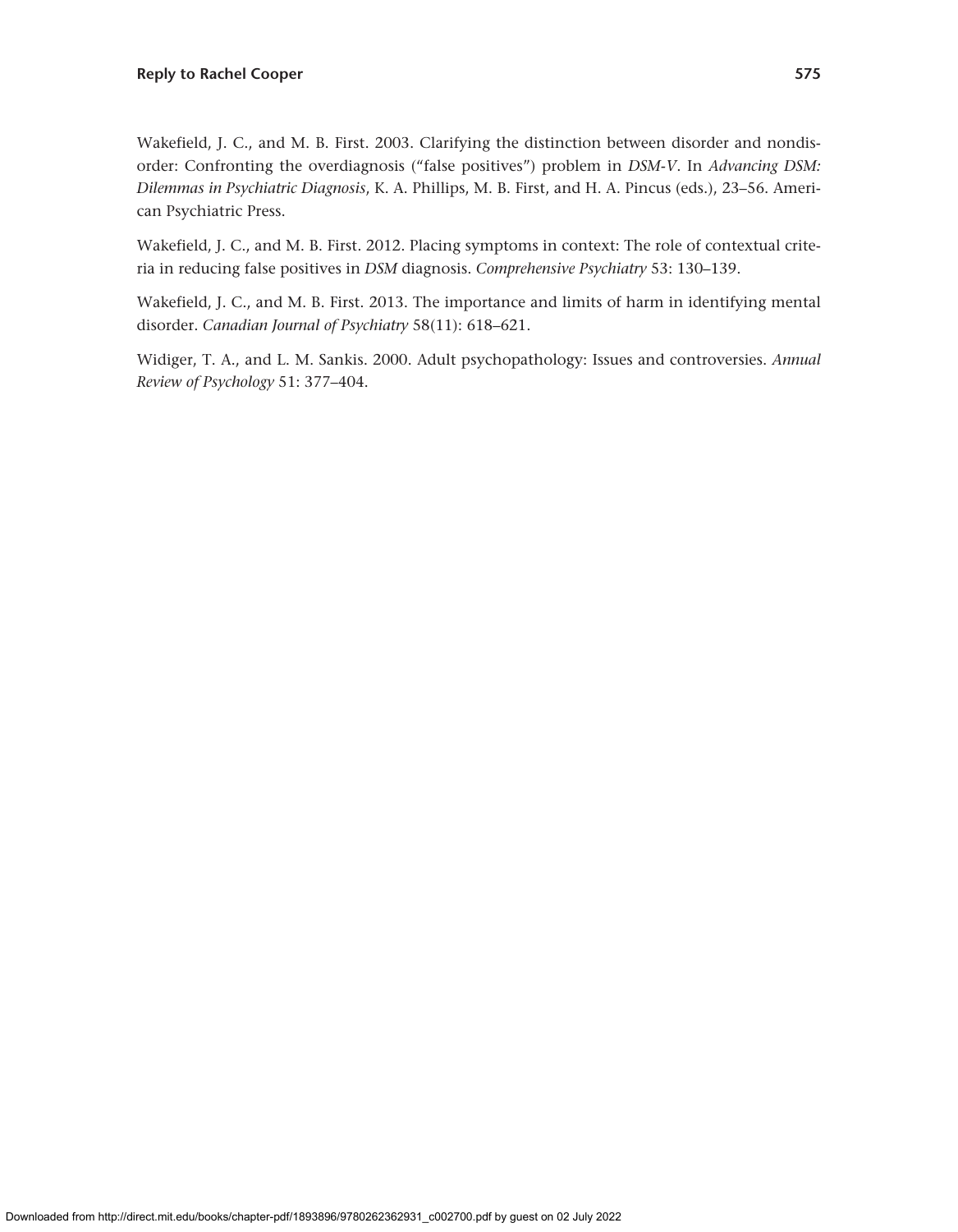Wakefield, J. C., and M. B. First. 2003. Clarifying the distinction between disorder and nondisorder: Confronting the overdiagnosis ("false positives") problem in *DSM-V*. In *Advancing DSM: Dilemmas in Psychiatric Diagnosis*, K. A. Phillips, M. B. First, and H. A. Pincus (eds.), 23–56. American Psychiatric Press.

Wakefield, J. C., and M. B. First. 2012. Placing symptoms in context: The role of contextual criteria in reducing false positives in *DSM* diagnosis. *Comprehensive Psychiatry* 53: 130–139.

Wakefield, J. C., and M. B. First. 2013. The importance and limits of harm in identifying mental disorder. *Canadian Journal of Psychiatry* 58(11): 618–621.

Widiger, T. A., and L. M. Sankis. 2000. Adult psychopathology: Issues and controversies. *Annual Review of Psychology* 51: 377–404.